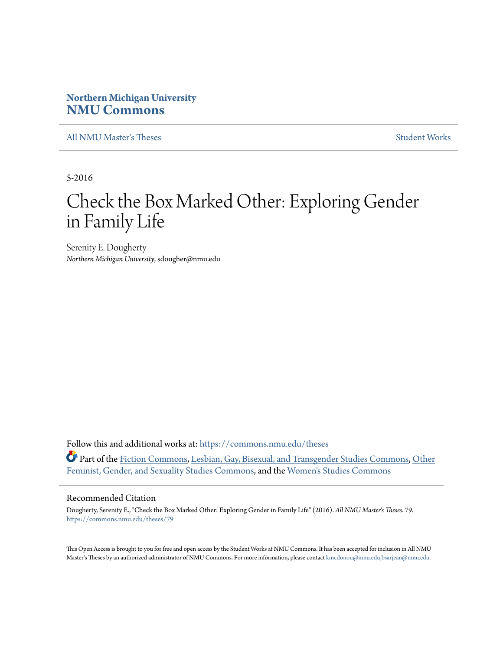# **Northern Michigan University [NMU Commons](https://commons.nmu.edu?utm_source=commons.nmu.edu%2Ftheses%2F79&utm_medium=PDF&utm_campaign=PDFCoverPages)**

[All NMU Master's Theses](https://commons.nmu.edu/theses?utm_source=commons.nmu.edu%2Ftheses%2F79&utm_medium=PDF&utm_campaign=PDFCoverPages) [Student Works](https://commons.nmu.edu/student_works?utm_source=commons.nmu.edu%2Ftheses%2F79&utm_medium=PDF&utm_campaign=PDFCoverPages)

5-2016

# Check the Box Marked Other: Exploring Gender in Family Life

Serenity E. Dougherty *Northern Michigan University*, sdougher@nmu.edu

Follow this and additional works at: [https://commons.nmu.edu/theses](https://commons.nmu.edu/theses?utm_source=commons.nmu.edu%2Ftheses%2F79&utm_medium=PDF&utm_campaign=PDFCoverPages) Part of the [Fiction Commons](http://network.bepress.com/hgg/discipline/1151?utm_source=commons.nmu.edu%2Ftheses%2F79&utm_medium=PDF&utm_campaign=PDFCoverPages), [Lesbian, Gay, Bisexual, and Transgender Studies Commons,](http://network.bepress.com/hgg/discipline/560?utm_source=commons.nmu.edu%2Ftheses%2F79&utm_medium=PDF&utm_campaign=PDFCoverPages) [Other](http://network.bepress.com/hgg/discipline/562?utm_source=commons.nmu.edu%2Ftheses%2F79&utm_medium=PDF&utm_campaign=PDFCoverPages) [Feminist, Gender, and Sexuality Studies Commons](http://network.bepress.com/hgg/discipline/562?utm_source=commons.nmu.edu%2Ftheses%2F79&utm_medium=PDF&utm_campaign=PDFCoverPages), and the [Women's Studies Commons](http://network.bepress.com/hgg/discipline/561?utm_source=commons.nmu.edu%2Ftheses%2F79&utm_medium=PDF&utm_campaign=PDFCoverPages)

## Recommended Citation

Dougherty, Serenity E., "Check the Box Marked Other: Exploring Gender in Family Life" (2016). *All NMU Master's Theses*. 79. [https://commons.nmu.edu/theses/79](https://commons.nmu.edu/theses/79?utm_source=commons.nmu.edu%2Ftheses%2F79&utm_medium=PDF&utm_campaign=PDFCoverPages)

This Open Access is brought to you for free and open access by the Student Works at NMU Commons. It has been accepted for inclusion in All NMU Master's Theses by an authorized administrator of NMU Commons. For more information, please contact [kmcdonou@nmu.edu,bsarjean@nmu.edu.](mailto:kmcdonou@nmu.edu,bsarjean@nmu.edu)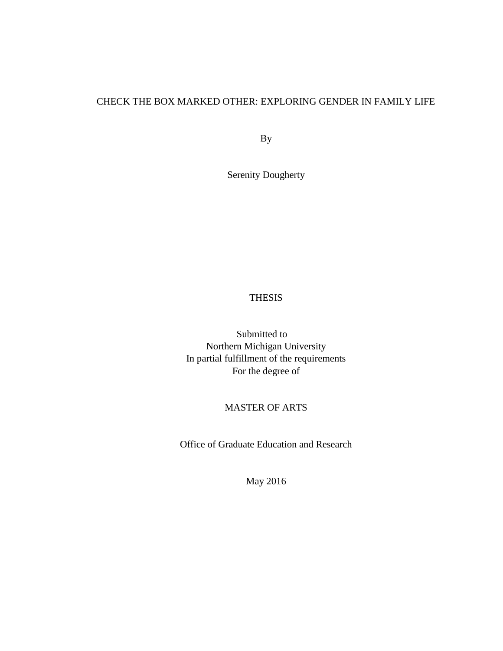# CHECK THE BOX MARKED OTHER: EXPLORING GENDER IN FAMILY LIFE

By

Serenity Dougherty

## THESIS

Submitted to Northern Michigan University In partial fulfillment of the requirements For the degree of

# MASTER OF ARTS

Office of Graduate Education and Research

May 2016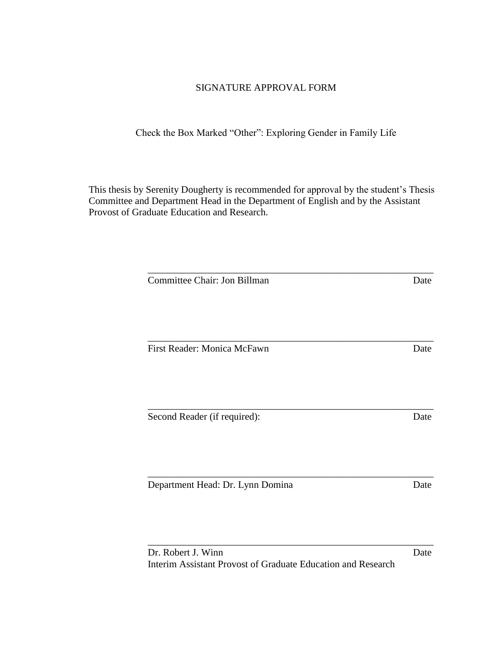## SIGNATURE APPROVAL FORM

Check the Box Marked "Other": Exploring Gender in Family Life

This thesis by Serenity Dougherty is recommended for approval by the student's Thesis Committee and Department Head in the Department of English and by the Assistant Provost of Graduate Education and Research.

\_\_\_\_\_\_\_\_\_\_\_\_\_\_\_\_\_\_\_\_\_\_\_\_\_\_\_\_\_\_\_\_\_\_\_\_\_\_\_\_\_\_\_\_\_\_\_\_\_\_\_\_\_\_\_\_\_\_

\_\_\_\_\_\_\_\_\_\_\_\_\_\_\_\_\_\_\_\_\_\_\_\_\_\_\_\_\_\_\_\_\_\_\_\_\_\_\_\_\_\_\_\_\_\_\_\_\_\_\_\_\_\_\_\_\_\_

\_\_\_\_\_\_\_\_\_\_\_\_\_\_\_\_\_\_\_\_\_\_\_\_\_\_\_\_\_\_\_\_\_\_\_\_\_\_\_\_\_\_\_\_\_\_\_\_\_\_\_\_\_\_\_\_\_\_

\_\_\_\_\_\_\_\_\_\_\_\_\_\_\_\_\_\_\_\_\_\_\_\_\_\_\_\_\_\_\_\_\_\_\_\_\_\_\_\_\_\_\_\_\_\_\_\_\_\_\_\_\_\_\_\_\_\_

**Committee Chair: Jon Billman Date** 

First Reader: Monica McFawn Date

Second Reader (if required): Date

Department Head: Dr. Lynn Domina Date

Dr. Robert J. Winn Date Interim Assistant Provost of Graduate Education and Research

\_\_\_\_\_\_\_\_\_\_\_\_\_\_\_\_\_\_\_\_\_\_\_\_\_\_\_\_\_\_\_\_\_\_\_\_\_\_\_\_\_\_\_\_\_\_\_\_\_\_\_\_\_\_\_\_\_\_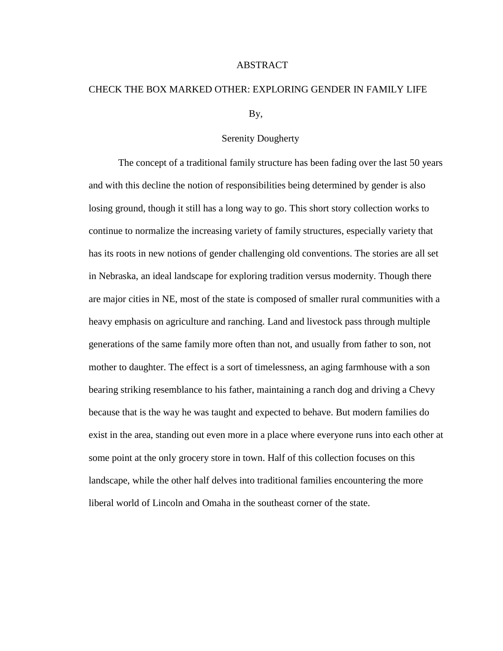## ABSTRACT

# CHECK THE BOX MARKED OTHER: EXPLORING GENDER IN FAMILY LIFE

By,

## Serenity Dougherty

The concept of a traditional family structure has been fading over the last 50 years and with this decline the notion of responsibilities being determined by gender is also losing ground, though it still has a long way to go. This short story collection works to continue to normalize the increasing variety of family structures, especially variety that has its roots in new notions of gender challenging old conventions. The stories are all set in Nebraska, an ideal landscape for exploring tradition versus modernity. Though there are major cities in NE, most of the state is composed of smaller rural communities with a heavy emphasis on agriculture and ranching. Land and livestock pass through multiple generations of the same family more often than not, and usually from father to son, not mother to daughter. The effect is a sort of timelessness, an aging farmhouse with a son bearing striking resemblance to his father, maintaining a ranch dog and driving a Chevy because that is the way he was taught and expected to behave. But modern families do exist in the area, standing out even more in a place where everyone runs into each other at some point at the only grocery store in town. Half of this collection focuses on this landscape, while the other half delves into traditional families encountering the more liberal world of Lincoln and Omaha in the southeast corner of the state.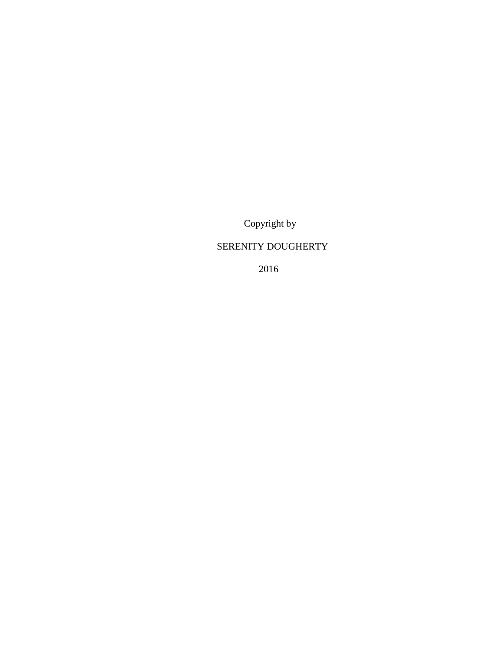Copyright by

# SERENITY DOUGHERTY

2016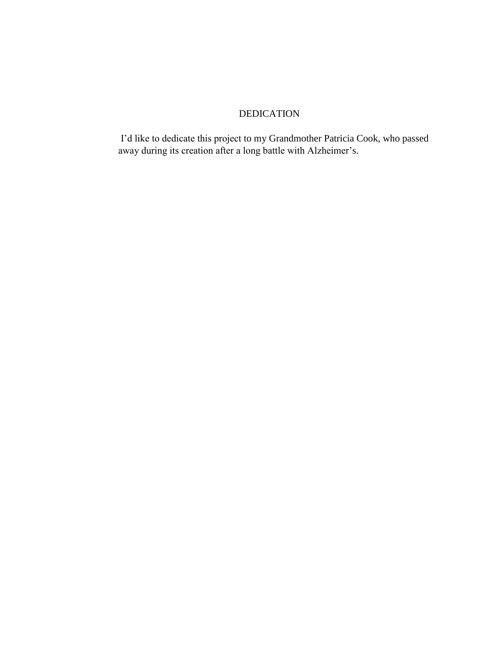# DEDICATION

I'd like to dedicate this project to my Grandmother Patricia Cook, who passed away during its creation after a long battle with Alzheimer's.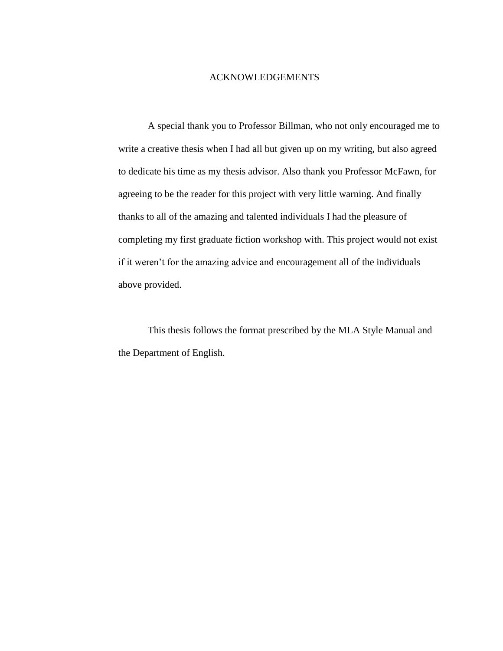## ACKNOWLEDGEMENTS

A special thank you to Professor Billman, who not only encouraged me to write a creative thesis when I had all but given up on my writing, but also agreed to dedicate his time as my thesis advisor. Also thank you Professor McFawn, for agreeing to be the reader for this project with very little warning. And finally thanks to all of the amazing and talented individuals I had the pleasure of completing my first graduate fiction workshop with. This project would not exist if it weren't for the amazing advice and encouragement all of the individuals above provided.

This thesis follows the format prescribed by the MLA Style Manual and the Department of English.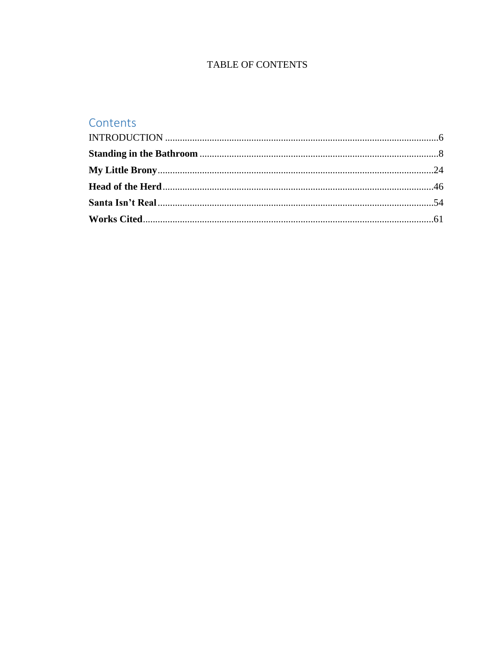# **TABLE OF CONTENTS**

# Contents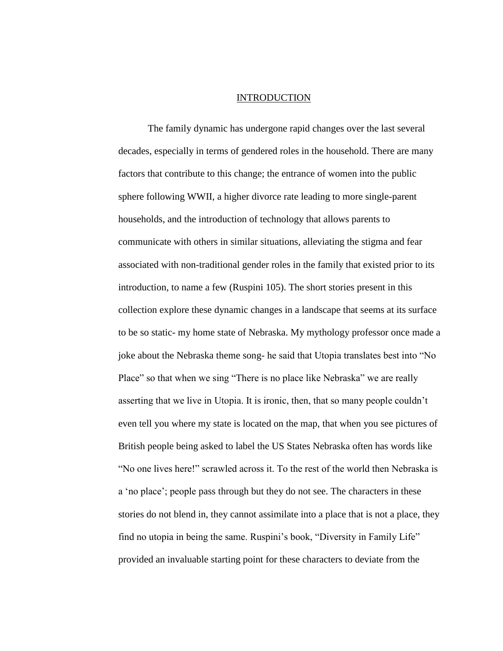#### INTRODUCTION

<span id="page-8-0"></span>The family dynamic has undergone rapid changes over the last several decades, especially in terms of gendered roles in the household. There are many factors that contribute to this change; the entrance of women into the public sphere following WWII, a higher divorce rate leading to more single-parent households, and the introduction of technology that allows parents to communicate with others in similar situations, alleviating the stigma and fear associated with non-traditional gender roles in the family that existed prior to its introduction, to name a few (Ruspini 105). The short stories present in this collection explore these dynamic changes in a landscape that seems at its surface to be so static- my home state of Nebraska. My mythology professor once made a joke about the Nebraska theme song- he said that Utopia translates best into "No Place" so that when we sing "There is no place like Nebraska" we are really asserting that we live in Utopia. It is ironic, then, that so many people couldn't even tell you where my state is located on the map, that when you see pictures of British people being asked to label the US States Nebraska often has words like "No one lives here!" scrawled across it. To the rest of the world then Nebraska is a 'no place'; people pass through but they do not see. The characters in these stories do not blend in, they cannot assimilate into a place that is not a place, they find no utopia in being the same. Ruspini's book, "Diversity in Family Life" provided an invaluable starting point for these characters to deviate from the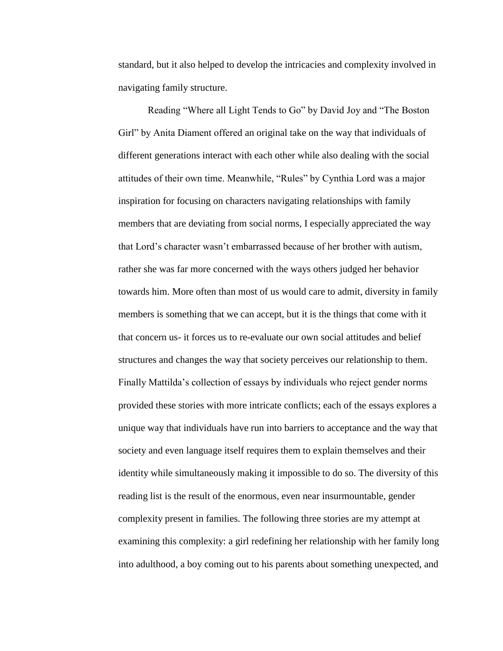standard, but it also helped to develop the intricacies and complexity involved in navigating family structure.

Reading "Where all Light Tends to Go" by David Joy and "The Boston Girl" by Anita Diament offered an original take on the way that individuals of different generations interact with each other while also dealing with the social attitudes of their own time. Meanwhile, "Rules" by Cynthia Lord was a major inspiration for focusing on characters navigating relationships with family members that are deviating from social norms, I especially appreciated the way that Lord's character wasn't embarrassed because of her brother with autism, rather she was far more concerned with the ways others judged her behavior towards him. More often than most of us would care to admit, diversity in family members is something that we can accept, but it is the things that come with it that concern us- it forces us to re-evaluate our own social attitudes and belief structures and changes the way that society perceives our relationship to them. Finally Mattilda's collection of essays by individuals who reject gender norms provided these stories with more intricate conflicts; each of the essays explores a unique way that individuals have run into barriers to acceptance and the way that society and even language itself requires them to explain themselves and their identity while simultaneously making it impossible to do so. The diversity of this reading list is the result of the enormous, even near insurmountable, gender complexity present in families. The following three stories are my attempt at examining this complexity: a girl redefining her relationship with her family long into adulthood, a boy coming out to his parents about something unexpected, and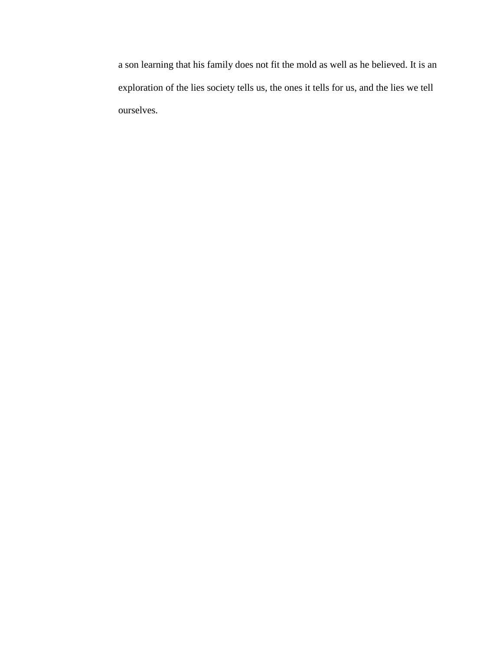<span id="page-10-0"></span>a son learning that his family does not fit the mold as well as he believed. It is an exploration of the lies society tells us, the ones it tells for us, and the lies we tell ourselves.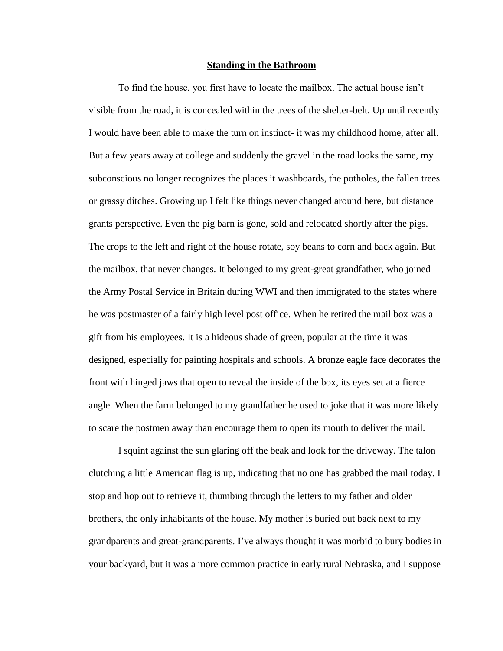#### **Standing in the Bathroom**

To find the house, you first have to locate the mailbox. The actual house isn't visible from the road, it is concealed within the trees of the shelter-belt. Up until recently I would have been able to make the turn on instinct- it was my childhood home, after all. But a few years away at college and suddenly the gravel in the road looks the same, my subconscious no longer recognizes the places it washboards, the potholes, the fallen trees or grassy ditches. Growing up I felt like things never changed around here, but distance grants perspective. Even the pig barn is gone, sold and relocated shortly after the pigs. The crops to the left and right of the house rotate, soy beans to corn and back again. But the mailbox, that never changes. It belonged to my great-great grandfather, who joined the Army Postal Service in Britain during WWI and then immigrated to the states where he was postmaster of a fairly high level post office. When he retired the mail box was a gift from his employees. It is a hideous shade of green, popular at the time it was designed, especially for painting hospitals and schools. A bronze eagle face decorates the front with hinged jaws that open to reveal the inside of the box, its eyes set at a fierce angle. When the farm belonged to my grandfather he used to joke that it was more likely to scare the postmen away than encourage them to open its mouth to deliver the mail.

I squint against the sun glaring off the beak and look for the driveway. The talon clutching a little American flag is up, indicating that no one has grabbed the mail today. I stop and hop out to retrieve it, thumbing through the letters to my father and older brothers, the only inhabitants of the house. My mother is buried out back next to my grandparents and great-grandparents. I've always thought it was morbid to bury bodies in your backyard, but it was a more common practice in early rural Nebraska, and I suppose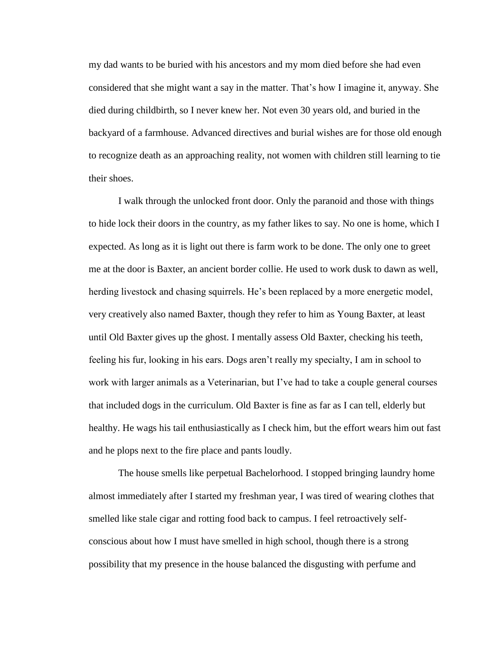my dad wants to be buried with his ancestors and my mom died before she had even considered that she might want a say in the matter. That's how I imagine it, anyway. She died during childbirth, so I never knew her. Not even 30 years old, and buried in the backyard of a farmhouse. Advanced directives and burial wishes are for those old enough to recognize death as an approaching reality, not women with children still learning to tie their shoes.

I walk through the unlocked front door. Only the paranoid and those with things to hide lock their doors in the country, as my father likes to say. No one is home, which I expected. As long as it is light out there is farm work to be done. The only one to greet me at the door is Baxter, an ancient border collie. He used to work dusk to dawn as well, herding livestock and chasing squirrels. He's been replaced by a more energetic model, very creatively also named Baxter, though they refer to him as Young Baxter, at least until Old Baxter gives up the ghost. I mentally assess Old Baxter, checking his teeth, feeling his fur, looking in his ears. Dogs aren't really my specialty, I am in school to work with larger animals as a Veterinarian, but I've had to take a couple general courses that included dogs in the curriculum. Old Baxter is fine as far as I can tell, elderly but healthy. He wags his tail enthusiastically as I check him, but the effort wears him out fast and he plops next to the fire place and pants loudly.

The house smells like perpetual Bachelorhood. I stopped bringing laundry home almost immediately after I started my freshman year, I was tired of wearing clothes that smelled like stale cigar and rotting food back to campus. I feel retroactively selfconscious about how I must have smelled in high school, though there is a strong possibility that my presence in the house balanced the disgusting with perfume and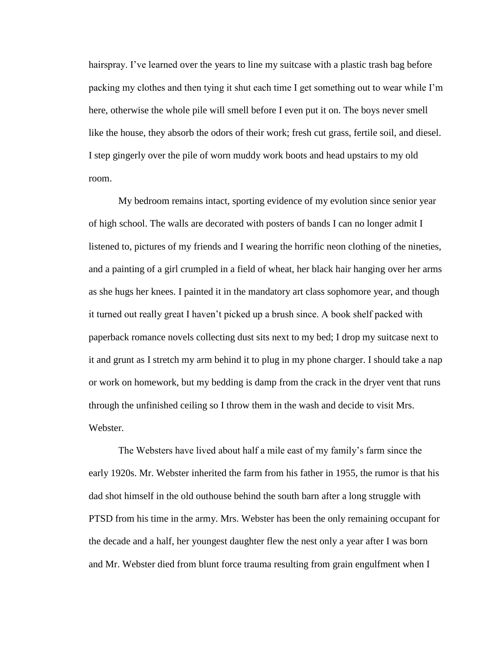hairspray. I've learned over the years to line my suitcase with a plastic trash bag before packing my clothes and then tying it shut each time I get something out to wear while I'm here, otherwise the whole pile will smell before I even put it on. The boys never smell like the house, they absorb the odors of their work; fresh cut grass, fertile soil, and diesel. I step gingerly over the pile of worn muddy work boots and head upstairs to my old room.

My bedroom remains intact, sporting evidence of my evolution since senior year of high school. The walls are decorated with posters of bands I can no longer admit I listened to, pictures of my friends and I wearing the horrific neon clothing of the nineties, and a painting of a girl crumpled in a field of wheat, her black hair hanging over her arms as she hugs her knees. I painted it in the mandatory art class sophomore year, and though it turned out really great I haven't picked up a brush since. A book shelf packed with paperback romance novels collecting dust sits next to my bed; I drop my suitcase next to it and grunt as I stretch my arm behind it to plug in my phone charger. I should take a nap or work on homework, but my bedding is damp from the crack in the dryer vent that runs through the unfinished ceiling so I throw them in the wash and decide to visit Mrs. Webster.

The Websters have lived about half a mile east of my family's farm since the early 1920s. Mr. Webster inherited the farm from his father in 1955, the rumor is that his dad shot himself in the old outhouse behind the south barn after a long struggle with PTSD from his time in the army. Mrs. Webster has been the only remaining occupant for the decade and a half, her youngest daughter flew the nest only a year after I was born and Mr. Webster died from blunt force trauma resulting from grain engulfment when I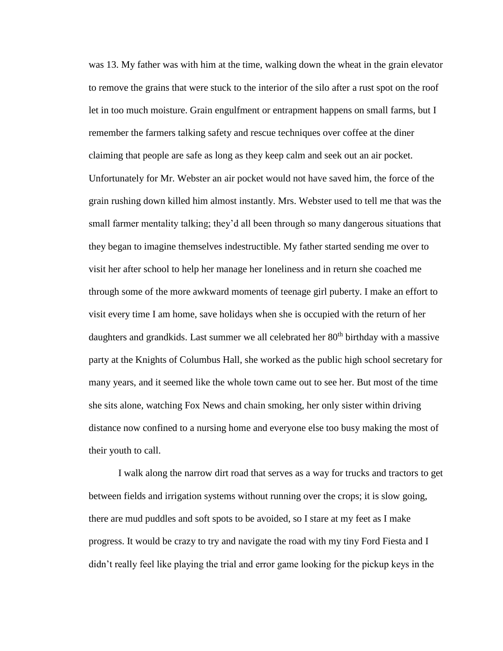was 13. My father was with him at the time, walking down the wheat in the grain elevator to remove the grains that were stuck to the interior of the silo after a rust spot on the roof let in too much moisture. Grain engulfment or entrapment happens on small farms, but I remember the farmers talking safety and rescue techniques over coffee at the diner claiming that people are safe as long as they keep calm and seek out an air pocket. Unfortunately for Mr. Webster an air pocket would not have saved him, the force of the grain rushing down killed him almost instantly. Mrs. Webster used to tell me that was the small farmer mentality talking; they'd all been through so many dangerous situations that they began to imagine themselves indestructible. My father started sending me over to visit her after school to help her manage her loneliness and in return she coached me through some of the more awkward moments of teenage girl puberty. I make an effort to visit every time I am home, save holidays when she is occupied with the return of her daughters and grandkids. Last summer we all celebrated her 80<sup>th</sup> birthday with a massive party at the Knights of Columbus Hall, she worked as the public high school secretary for many years, and it seemed like the whole town came out to see her. But most of the time she sits alone, watching Fox News and chain smoking, her only sister within driving distance now confined to a nursing home and everyone else too busy making the most of their youth to call.

I walk along the narrow dirt road that serves as a way for trucks and tractors to get between fields and irrigation systems without running over the crops; it is slow going, there are mud puddles and soft spots to be avoided, so I stare at my feet as I make progress. It would be crazy to try and navigate the road with my tiny Ford Fiesta and I didn't really feel like playing the trial and error game looking for the pickup keys in the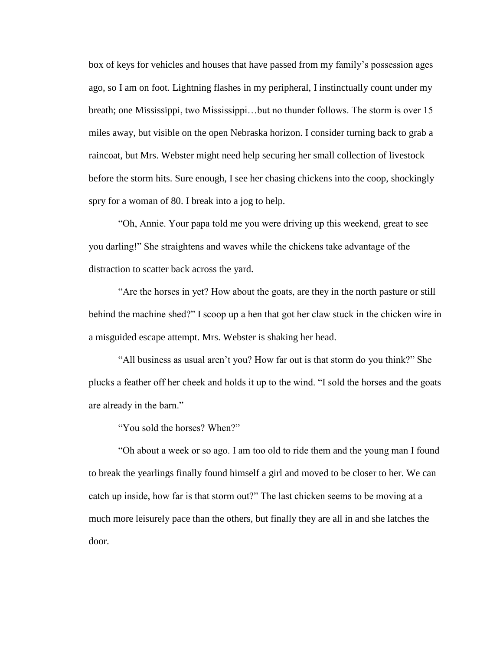box of keys for vehicles and houses that have passed from my family's possession ages ago, so I am on foot. Lightning flashes in my peripheral, I instinctually count under my breath; one Mississippi, two Mississippi…but no thunder follows. The storm is over 15 miles away, but visible on the open Nebraska horizon. I consider turning back to grab a raincoat, but Mrs. Webster might need help securing her small collection of livestock before the storm hits. Sure enough, I see her chasing chickens into the coop, shockingly spry for a woman of 80. I break into a jog to help.

"Oh, Annie. Your papa told me you were driving up this weekend, great to see you darling!" She straightens and waves while the chickens take advantage of the distraction to scatter back across the yard.

"Are the horses in yet? How about the goats, are they in the north pasture or still behind the machine shed?" I scoop up a hen that got her claw stuck in the chicken wire in a misguided escape attempt. Mrs. Webster is shaking her head.

"All business as usual aren't you? How far out is that storm do you think?" She plucks a feather off her cheek and holds it up to the wind. "I sold the horses and the goats are already in the barn."

"You sold the horses? When?"

"Oh about a week or so ago. I am too old to ride them and the young man I found to break the yearlings finally found himself a girl and moved to be closer to her. We can catch up inside, how far is that storm out?" The last chicken seems to be moving at a much more leisurely pace than the others, but finally they are all in and she latches the door.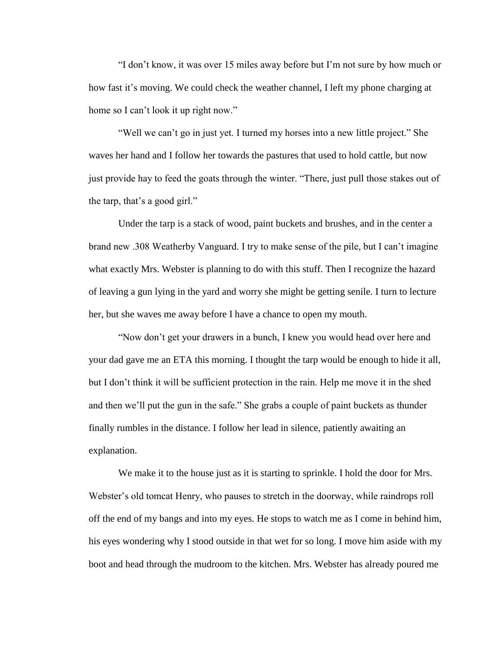"I don't know, it was over 15 miles away before but I'm not sure by how much or how fast it's moving. We could check the weather channel, I left my phone charging at home so I can't look it up right now."

"Well we can't go in just yet. I turned my horses into a new little project." She waves her hand and I follow her towards the pastures that used to hold cattle, but now just provide hay to feed the goats through the winter. "There, just pull those stakes out of the tarp, that's a good girl."

Under the tarp is a stack of wood, paint buckets and brushes, and in the center a brand new .308 Weatherby Vanguard. I try to make sense of the pile, but I can't imagine what exactly Mrs. Webster is planning to do with this stuff. Then I recognize the hazard of leaving a gun lying in the yard and worry she might be getting senile. I turn to lecture her, but she waves me away before I have a chance to open my mouth.

"Now don't get your drawers in a bunch, I knew you would head over here and your dad gave me an ETA this morning. I thought the tarp would be enough to hide it all, but I don't think it will be sufficient protection in the rain. Help me move it in the shed and then we'll put the gun in the safe." She grabs a couple of paint buckets as thunder finally rumbles in the distance. I follow her lead in silence, patiently awaiting an explanation.

We make it to the house just as it is starting to sprinkle. I hold the door for Mrs. Webster's old tomcat Henry, who pauses to stretch in the doorway, while raindrops roll off the end of my bangs and into my eyes. He stops to watch me as I come in behind him, his eyes wondering why I stood outside in that wet for so long. I move him aside with my boot and head through the mudroom to the kitchen. Mrs. Webster has already poured me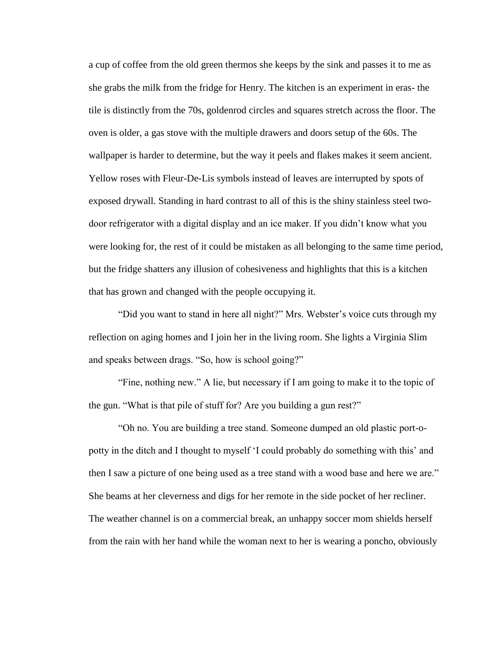a cup of coffee from the old green thermos she keeps by the sink and passes it to me as she grabs the milk from the fridge for Henry. The kitchen is an experiment in eras- the tile is distinctly from the 70s, goldenrod circles and squares stretch across the floor. The oven is older, a gas stove with the multiple drawers and doors setup of the 60s. The wallpaper is harder to determine, but the way it peels and flakes makes it seem ancient. Yellow roses with Fleur-De-Lis symbols instead of leaves are interrupted by spots of exposed drywall. Standing in hard contrast to all of this is the shiny stainless steel twodoor refrigerator with a digital display and an ice maker. If you didn't know what you were looking for, the rest of it could be mistaken as all belonging to the same time period, but the fridge shatters any illusion of cohesiveness and highlights that this is a kitchen that has grown and changed with the people occupying it.

"Did you want to stand in here all night?" Mrs. Webster's voice cuts through my reflection on aging homes and I join her in the living room. She lights a Virginia Slim and speaks between drags. "So, how is school going?"

"Fine, nothing new." A lie, but necessary if I am going to make it to the topic of the gun. "What is that pile of stuff for? Are you building a gun rest?"

"Oh no. You are building a tree stand. Someone dumped an old plastic port-opotty in the ditch and I thought to myself 'I could probably do something with this' and then I saw a picture of one being used as a tree stand with a wood base and here we are." She beams at her cleverness and digs for her remote in the side pocket of her recliner. The weather channel is on a commercial break, an unhappy soccer mom shields herself from the rain with her hand while the woman next to her is wearing a poncho, obviously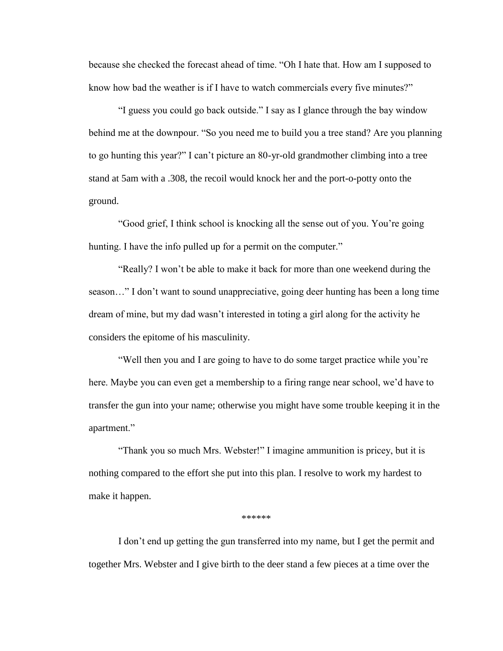because she checked the forecast ahead of time. "Oh I hate that. How am I supposed to know how bad the weather is if I have to watch commercials every five minutes?"

"I guess you could go back outside." I say as I glance through the bay window behind me at the downpour. "So you need me to build you a tree stand? Are you planning to go hunting this year?" I can't picture an 80-yr-old grandmother climbing into a tree stand at 5am with a .308, the recoil would knock her and the port-o-potty onto the ground.

"Good grief, I think school is knocking all the sense out of you. You're going hunting. I have the info pulled up for a permit on the computer."

"Really? I won't be able to make it back for more than one weekend during the season…" I don't want to sound unappreciative, going deer hunting has been a long time dream of mine, but my dad wasn't interested in toting a girl along for the activity he considers the epitome of his masculinity.

"Well then you and I are going to have to do some target practice while you're here. Maybe you can even get a membership to a firing range near school, we'd have to transfer the gun into your name; otherwise you might have some trouble keeping it in the apartment."

"Thank you so much Mrs. Webster!" I imagine ammunition is pricey, but it is nothing compared to the effort she put into this plan. I resolve to work my hardest to make it happen.

\*\*\*\*\*\*

I don't end up getting the gun transferred into my name, but I get the permit and together Mrs. Webster and I give birth to the deer stand a few pieces at a time over the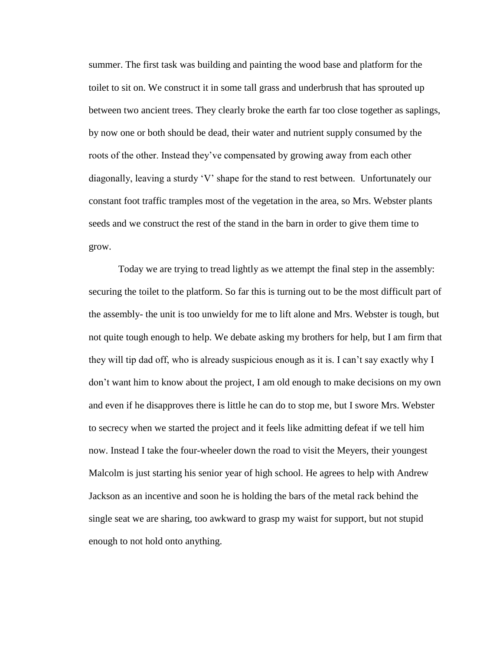summer. The first task was building and painting the wood base and platform for the toilet to sit on. We construct it in some tall grass and underbrush that has sprouted up between two ancient trees. They clearly broke the earth far too close together as saplings, by now one or both should be dead, their water and nutrient supply consumed by the roots of the other. Instead they've compensated by growing away from each other diagonally, leaving a sturdy 'V' shape for the stand to rest between. Unfortunately our constant foot traffic tramples most of the vegetation in the area, so Mrs. Webster plants seeds and we construct the rest of the stand in the barn in order to give them time to grow.

Today we are trying to tread lightly as we attempt the final step in the assembly: securing the toilet to the platform. So far this is turning out to be the most difficult part of the assembly- the unit is too unwieldy for me to lift alone and Mrs. Webster is tough, but not quite tough enough to help. We debate asking my brothers for help, but I am firm that they will tip dad off, who is already suspicious enough as it is. I can't say exactly why I don't want him to know about the project, I am old enough to make decisions on my own and even if he disapproves there is little he can do to stop me, but I swore Mrs. Webster to secrecy when we started the project and it feels like admitting defeat if we tell him now. Instead I take the four-wheeler down the road to visit the Meyers, their youngest Malcolm is just starting his senior year of high school. He agrees to help with Andrew Jackson as an incentive and soon he is holding the bars of the metal rack behind the single seat we are sharing, too awkward to grasp my waist for support, but not stupid enough to not hold onto anything.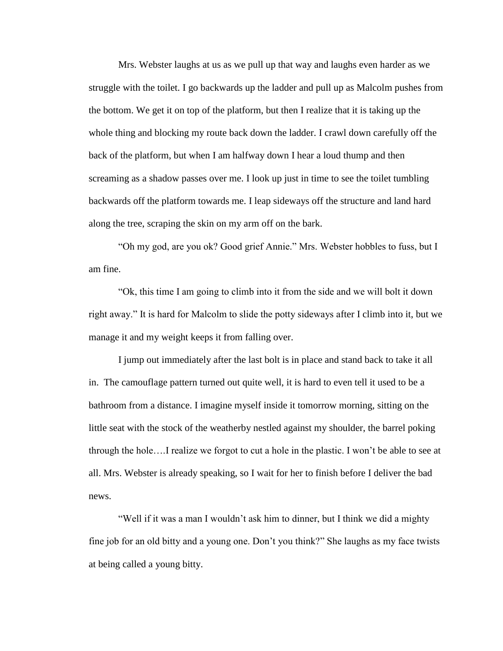Mrs. Webster laughs at us as we pull up that way and laughs even harder as we struggle with the toilet. I go backwards up the ladder and pull up as Malcolm pushes from the bottom. We get it on top of the platform, but then I realize that it is taking up the whole thing and blocking my route back down the ladder. I crawl down carefully off the back of the platform, but when I am halfway down I hear a loud thump and then screaming as a shadow passes over me. I look up just in time to see the toilet tumbling backwards off the platform towards me. I leap sideways off the structure and land hard along the tree, scraping the skin on my arm off on the bark.

"Oh my god, are you ok? Good grief Annie." Mrs. Webster hobbles to fuss, but I am fine.

"Ok, this time I am going to climb into it from the side and we will bolt it down right away." It is hard for Malcolm to slide the potty sideways after I climb into it, but we manage it and my weight keeps it from falling over.

I jump out immediately after the last bolt is in place and stand back to take it all in. The camouflage pattern turned out quite well, it is hard to even tell it used to be a bathroom from a distance. I imagine myself inside it tomorrow morning, sitting on the little seat with the stock of the weatherby nestled against my shoulder, the barrel poking through the hole….I realize we forgot to cut a hole in the plastic. I won't be able to see at all. Mrs. Webster is already speaking, so I wait for her to finish before I deliver the bad news.

"Well if it was a man I wouldn't ask him to dinner, but I think we did a mighty fine job for an old bitty and a young one. Don't you think?" She laughs as my face twists at being called a young bitty.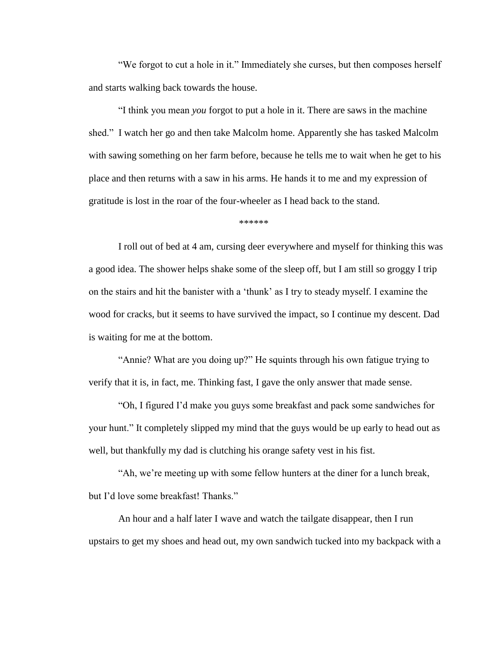"We forgot to cut a hole in it." Immediately she curses, but then composes herself and starts walking back towards the house.

"I think you mean *you* forgot to put a hole in it. There are saws in the machine shed." I watch her go and then take Malcolm home. Apparently she has tasked Malcolm with sawing something on her farm before, because he tells me to wait when he get to his place and then returns with a saw in his arms. He hands it to me and my expression of gratitude is lost in the roar of the four-wheeler as I head back to the stand.

\*\*\*\*\*\*

I roll out of bed at 4 am, cursing deer everywhere and myself for thinking this was a good idea. The shower helps shake some of the sleep off, but I am still so groggy I trip on the stairs and hit the banister with a 'thunk' as I try to steady myself. I examine the wood for cracks, but it seems to have survived the impact, so I continue my descent. Dad is waiting for me at the bottom.

"Annie? What are you doing up?" He squints through his own fatigue trying to verify that it is, in fact, me. Thinking fast, I gave the only answer that made sense.

"Oh, I figured I'd make you guys some breakfast and pack some sandwiches for your hunt." It completely slipped my mind that the guys would be up early to head out as well, but thankfully my dad is clutching his orange safety vest in his fist.

"Ah, we're meeting up with some fellow hunters at the diner for a lunch break, but I'd love some breakfast! Thanks."

An hour and a half later I wave and watch the tailgate disappear, then I run upstairs to get my shoes and head out, my own sandwich tucked into my backpack with a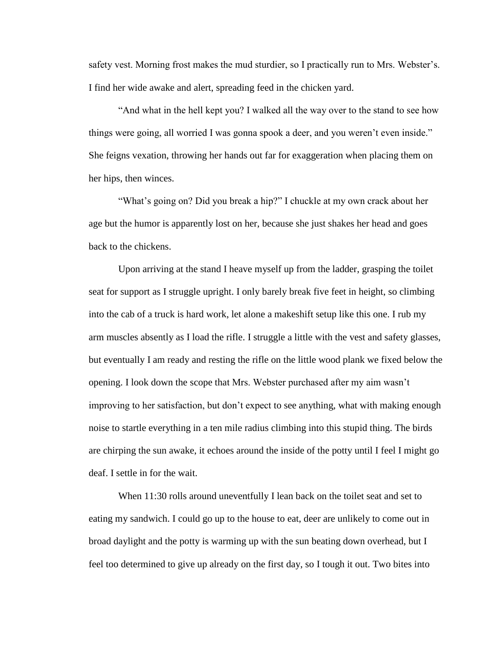safety vest. Morning frost makes the mud sturdier, so I practically run to Mrs. Webster's. I find her wide awake and alert, spreading feed in the chicken yard.

"And what in the hell kept you? I walked all the way over to the stand to see how things were going, all worried I was gonna spook a deer, and you weren't even inside." She feigns vexation, throwing her hands out far for exaggeration when placing them on her hips, then winces.

"What's going on? Did you break a hip?" I chuckle at my own crack about her age but the humor is apparently lost on her, because she just shakes her head and goes back to the chickens.

Upon arriving at the stand I heave myself up from the ladder, grasping the toilet seat for support as I struggle upright. I only barely break five feet in height, so climbing into the cab of a truck is hard work, let alone a makeshift setup like this one. I rub my arm muscles absently as I load the rifle. I struggle a little with the vest and safety glasses, but eventually I am ready and resting the rifle on the little wood plank we fixed below the opening. I look down the scope that Mrs. Webster purchased after my aim wasn't improving to her satisfaction, but don't expect to see anything, what with making enough noise to startle everything in a ten mile radius climbing into this stupid thing. The birds are chirping the sun awake, it echoes around the inside of the potty until I feel I might go deaf. I settle in for the wait.

When 11:30 rolls around uneventfully I lean back on the toilet seat and set to eating my sandwich. I could go up to the house to eat, deer are unlikely to come out in broad daylight and the potty is warming up with the sun beating down overhead, but I feel too determined to give up already on the first day, so I tough it out. Two bites into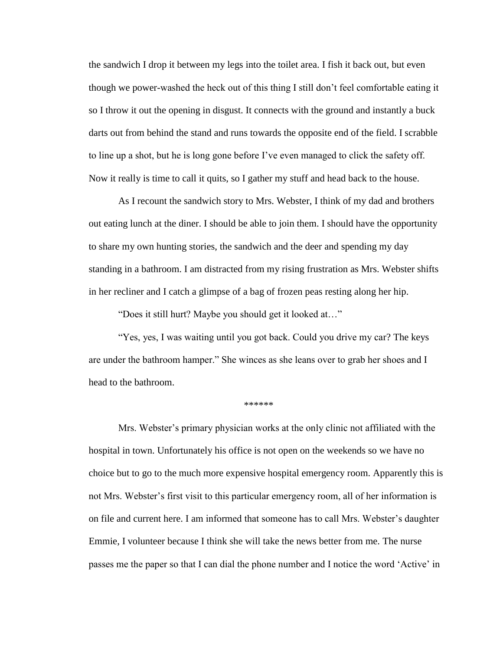the sandwich I drop it between my legs into the toilet area. I fish it back out, but even though we power-washed the heck out of this thing I still don't feel comfortable eating it so I throw it out the opening in disgust. It connects with the ground and instantly a buck darts out from behind the stand and runs towards the opposite end of the field. I scrabble to line up a shot, but he is long gone before I've even managed to click the safety off. Now it really is time to call it quits, so I gather my stuff and head back to the house.

As I recount the sandwich story to Mrs. Webster, I think of my dad and brothers out eating lunch at the diner. I should be able to join them. I should have the opportunity to share my own hunting stories, the sandwich and the deer and spending my day standing in a bathroom. I am distracted from my rising frustration as Mrs. Webster shifts in her recliner and I catch a glimpse of a bag of frozen peas resting along her hip.

"Does it still hurt? Maybe you should get it looked at…"

"Yes, yes, I was waiting until you got back. Could you drive my car? The keys are under the bathroom hamper." She winces as she leans over to grab her shoes and I head to the bathroom.

\*\*\*\*\*\*

Mrs. Webster's primary physician works at the only clinic not affiliated with the hospital in town. Unfortunately his office is not open on the weekends so we have no choice but to go to the much more expensive hospital emergency room. Apparently this is not Mrs. Webster's first visit to this particular emergency room, all of her information is on file and current here. I am informed that someone has to call Mrs. Webster's daughter Emmie, I volunteer because I think she will take the news better from me. The nurse passes me the paper so that I can dial the phone number and I notice the word 'Active' in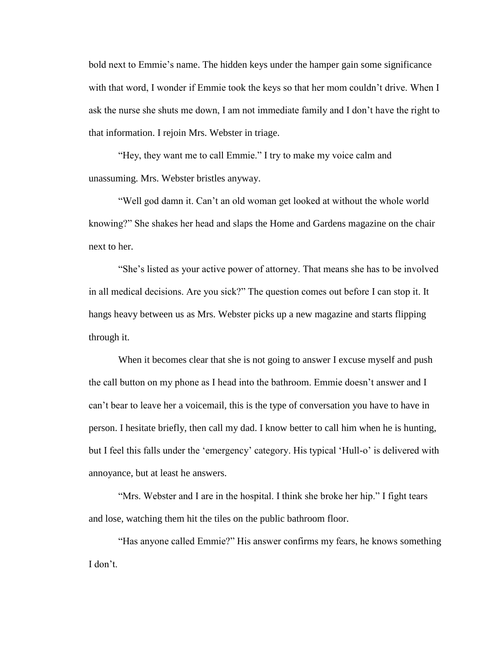bold next to Emmie's name. The hidden keys under the hamper gain some significance with that word, I wonder if Emmie took the keys so that her mom couldn't drive. When I ask the nurse she shuts me down, I am not immediate family and I don't have the right to that information. I rejoin Mrs. Webster in triage.

"Hey, they want me to call Emmie." I try to make my voice calm and unassuming. Mrs. Webster bristles anyway.

"Well god damn it. Can't an old woman get looked at without the whole world knowing?" She shakes her head and slaps the Home and Gardens magazine on the chair next to her.

"She's listed as your active power of attorney. That means she has to be involved in all medical decisions. Are you sick?" The question comes out before I can stop it. It hangs heavy between us as Mrs. Webster picks up a new magazine and starts flipping through it.

When it becomes clear that she is not going to answer I excuse myself and push the call button on my phone as I head into the bathroom. Emmie doesn't answer and I can't bear to leave her a voicemail, this is the type of conversation you have to have in person. I hesitate briefly, then call my dad. I know better to call him when he is hunting, but I feel this falls under the 'emergency' category. His typical 'Hull-o' is delivered with annoyance, but at least he answers.

"Mrs. Webster and I are in the hospital. I think she broke her hip." I fight tears and lose, watching them hit the tiles on the public bathroom floor.

"Has anyone called Emmie?" His answer confirms my fears, he knows something I don't.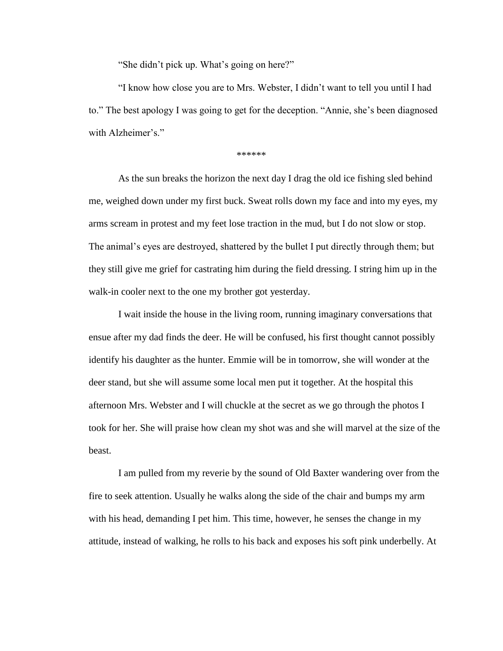"She didn't pick up. What's going on here?"

"I know how close you are to Mrs. Webster, I didn't want to tell you until I had to." The best apology I was going to get for the deception. "Annie, she's been diagnosed with Alzheimer's."

\*\*\*\*\*\*

As the sun breaks the horizon the next day I drag the old ice fishing sled behind me, weighed down under my first buck. Sweat rolls down my face and into my eyes, my arms scream in protest and my feet lose traction in the mud, but I do not slow or stop. The animal's eyes are destroyed, shattered by the bullet I put directly through them; but they still give me grief for castrating him during the field dressing. I string him up in the walk-in cooler next to the one my brother got yesterday.

I wait inside the house in the living room, running imaginary conversations that ensue after my dad finds the deer. He will be confused, his first thought cannot possibly identify his daughter as the hunter. Emmie will be in tomorrow, she will wonder at the deer stand, but she will assume some local men put it together. At the hospital this afternoon Mrs. Webster and I will chuckle at the secret as we go through the photos I took for her. She will praise how clean my shot was and she will marvel at the size of the beast.

I am pulled from my reverie by the sound of Old Baxter wandering over from the fire to seek attention. Usually he walks along the side of the chair and bumps my arm with his head, demanding I pet him. This time, however, he senses the change in my attitude, instead of walking, he rolls to his back and exposes his soft pink underbelly. At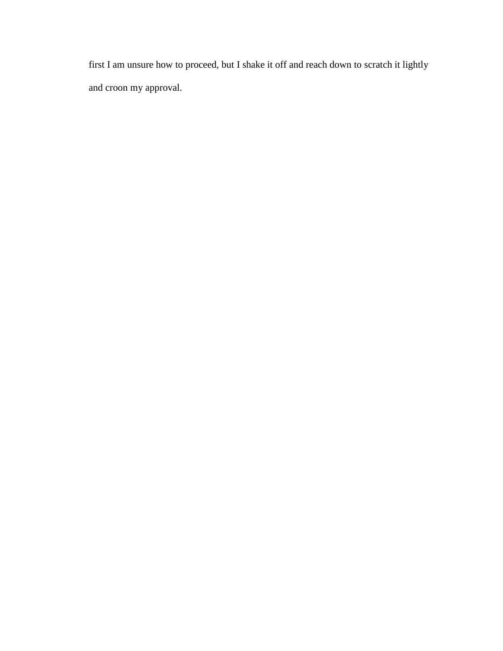<span id="page-26-0"></span>first I am unsure how to proceed, but I shake it off and reach down to scratch it lightly and croon my approval.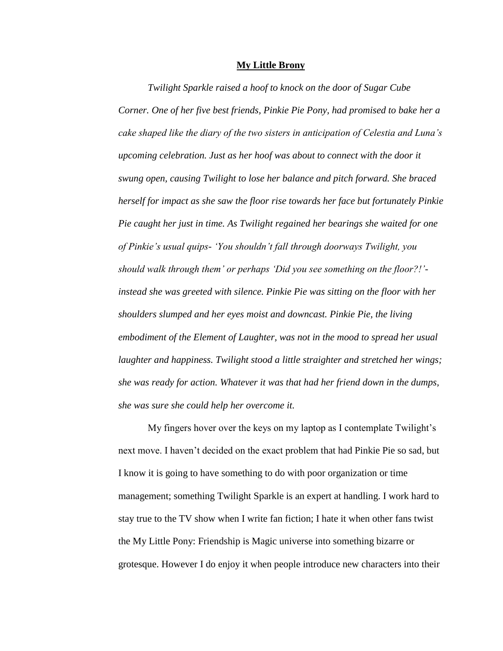#### **My Little Brony**

*Twilight Sparkle raised a hoof to knock on the door of Sugar Cube Corner. One of her five best friends, Pinkie Pie Pony, had promised to bake her a cake shaped like the diary of the two sisters in anticipation of Celestia and Luna's upcoming celebration. Just as her hoof was about to connect with the door it swung open, causing Twilight to lose her balance and pitch forward. She braced herself for impact as she saw the floor rise towards her face but fortunately Pinkie Pie caught her just in time. As Twilight regained her bearings she waited for one of Pinkie's usual quips- 'You shouldn't fall through doorways Twilight, you should walk through them' or perhaps 'Did you see something on the floor?!' instead she was greeted with silence. Pinkie Pie was sitting on the floor with her shoulders slumped and her eyes moist and downcast. Pinkie Pie, the living embodiment of the Element of Laughter, was not in the mood to spread her usual laughter and happiness. Twilight stood a little straighter and stretched her wings; she was ready for action. Whatever it was that had her friend down in the dumps, she was sure she could help her overcome it.* 

My fingers hover over the keys on my laptop as I contemplate Twilight's next move. I haven't decided on the exact problem that had Pinkie Pie so sad, but I know it is going to have something to do with poor organization or time management; something Twilight Sparkle is an expert at handling. I work hard to stay true to the TV show when I write fan fiction; I hate it when other fans twist the My Little Pony: Friendship is Magic universe into something bizarre or grotesque. However I do enjoy it when people introduce new characters into their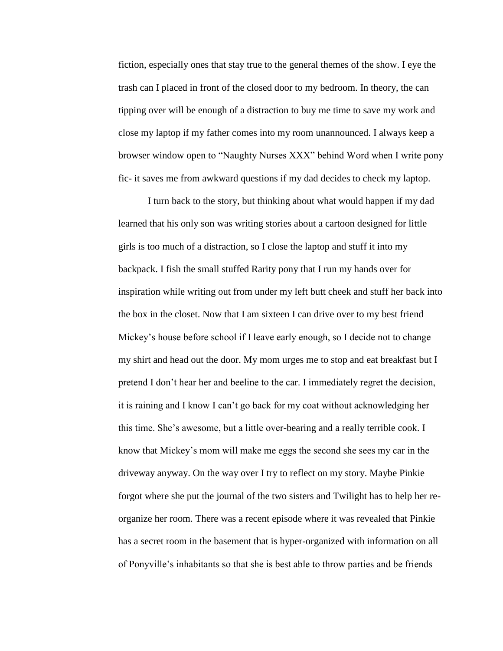fiction, especially ones that stay true to the general themes of the show. I eye the trash can I placed in front of the closed door to my bedroom. In theory, the can tipping over will be enough of a distraction to buy me time to save my work and close my laptop if my father comes into my room unannounced. I always keep a browser window open to "Naughty Nurses XXX" behind Word when I write pony fic- it saves me from awkward questions if my dad decides to check my laptop.

I turn back to the story, but thinking about what would happen if my dad learned that his only son was writing stories about a cartoon designed for little girls is too much of a distraction, so I close the laptop and stuff it into my backpack. I fish the small stuffed Rarity pony that I run my hands over for inspiration while writing out from under my left butt cheek and stuff her back into the box in the closet. Now that I am sixteen I can drive over to my best friend Mickey's house before school if I leave early enough, so I decide not to change my shirt and head out the door. My mom urges me to stop and eat breakfast but I pretend I don't hear her and beeline to the car. I immediately regret the decision, it is raining and I know I can't go back for my coat without acknowledging her this time. She's awesome, but a little over-bearing and a really terrible cook. I know that Mickey's mom will make me eggs the second she sees my car in the driveway anyway. On the way over I try to reflect on my story. Maybe Pinkie forgot where she put the journal of the two sisters and Twilight has to help her reorganize her room. There was a recent episode where it was revealed that Pinkie has a secret room in the basement that is hyper-organized with information on all of Ponyville's inhabitants so that she is best able to throw parties and be friends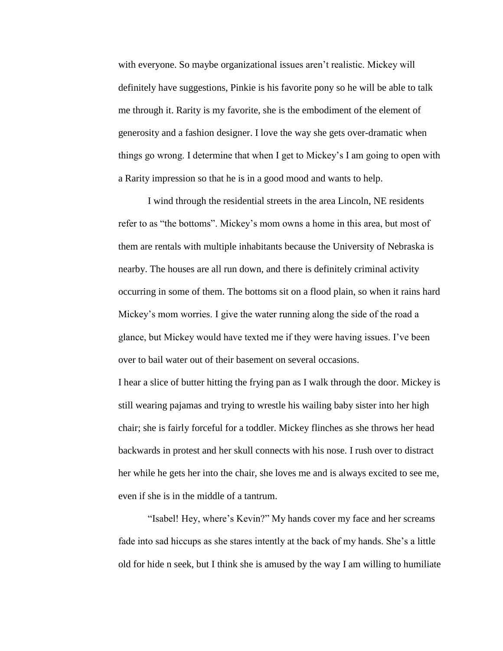with everyone. So maybe organizational issues aren't realistic. Mickey will definitely have suggestions, Pinkie is his favorite pony so he will be able to talk me through it. Rarity is my favorite, she is the embodiment of the element of generosity and a fashion designer. I love the way she gets over-dramatic when things go wrong. I determine that when I get to Mickey's I am going to open with a Rarity impression so that he is in a good mood and wants to help.

I wind through the residential streets in the area Lincoln, NE residents refer to as "the bottoms". Mickey's mom owns a home in this area, but most of them are rentals with multiple inhabitants because the University of Nebraska is nearby. The houses are all run down, and there is definitely criminal activity occurring in some of them. The bottoms sit on a flood plain, so when it rains hard Mickey's mom worries. I give the water running along the side of the road a glance, but Mickey would have texted me if they were having issues. I've been over to bail water out of their basement on several occasions.

I hear a slice of butter hitting the frying pan as I walk through the door. Mickey is still wearing pajamas and trying to wrestle his wailing baby sister into her high chair; she is fairly forceful for a toddler. Mickey flinches as she throws her head backwards in protest and her skull connects with his nose. I rush over to distract her while he gets her into the chair, she loves me and is always excited to see me, even if she is in the middle of a tantrum.

"Isabel! Hey, where's Kevin?" My hands cover my face and her screams fade into sad hiccups as she stares intently at the back of my hands. She's a little old for hide n seek, but I think she is amused by the way I am willing to humiliate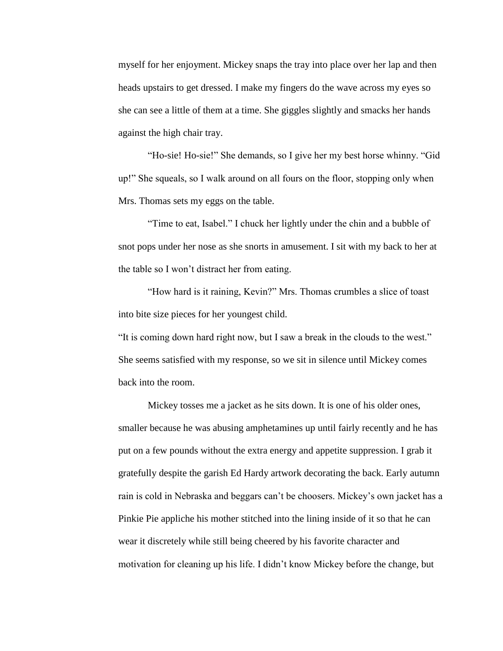myself for her enjoyment. Mickey snaps the tray into place over her lap and then heads upstairs to get dressed. I make my fingers do the wave across my eyes so she can see a little of them at a time. She giggles slightly and smacks her hands against the high chair tray.

"Ho-sie! Ho-sie!" She demands, so I give her my best horse whinny. "Gid up!" She squeals, so I walk around on all fours on the floor, stopping only when Mrs. Thomas sets my eggs on the table.

"Time to eat, Isabel." I chuck her lightly under the chin and a bubble of snot pops under her nose as she snorts in amusement. I sit with my back to her at the table so I won't distract her from eating.

"How hard is it raining, Kevin?" Mrs. Thomas crumbles a slice of toast into bite size pieces for her youngest child.

"It is coming down hard right now, but I saw a break in the clouds to the west." She seems satisfied with my response, so we sit in silence until Mickey comes back into the room.

Mickey tosses me a jacket as he sits down. It is one of his older ones, smaller because he was abusing amphetamines up until fairly recently and he has put on a few pounds without the extra energy and appetite suppression. I grab it gratefully despite the garish Ed Hardy artwork decorating the back. Early autumn rain is cold in Nebraska and beggars can't be choosers. Mickey's own jacket has a Pinkie Pie appliche his mother stitched into the lining inside of it so that he can wear it discretely while still being cheered by his favorite character and motivation for cleaning up his life. I didn't know Mickey before the change, but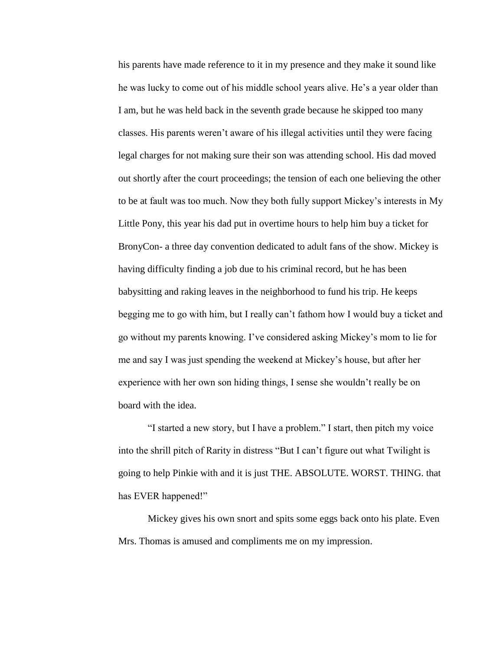his parents have made reference to it in my presence and they make it sound like he was lucky to come out of his middle school years alive. He's a year older than I am, but he was held back in the seventh grade because he skipped too many classes. His parents weren't aware of his illegal activities until they were facing legal charges for not making sure their son was attending school. His dad moved out shortly after the court proceedings; the tension of each one believing the other to be at fault was too much. Now they both fully support Mickey's interests in My Little Pony, this year his dad put in overtime hours to help him buy a ticket for BronyCon- a three day convention dedicated to adult fans of the show. Mickey is having difficulty finding a job due to his criminal record, but he has been babysitting and raking leaves in the neighborhood to fund his trip. He keeps begging me to go with him, but I really can't fathom how I would buy a ticket and go without my parents knowing. I've considered asking Mickey's mom to lie for me and say I was just spending the weekend at Mickey's house, but after her experience with her own son hiding things, I sense she wouldn't really be on board with the idea.

"I started a new story, but I have a problem." I start, then pitch my voice into the shrill pitch of Rarity in distress "But I can't figure out what Twilight is going to help Pinkie with and it is just THE. ABSOLUTE. WORST. THING. that has EVER happened!"

Mickey gives his own snort and spits some eggs back onto his plate. Even Mrs. Thomas is amused and compliments me on my impression.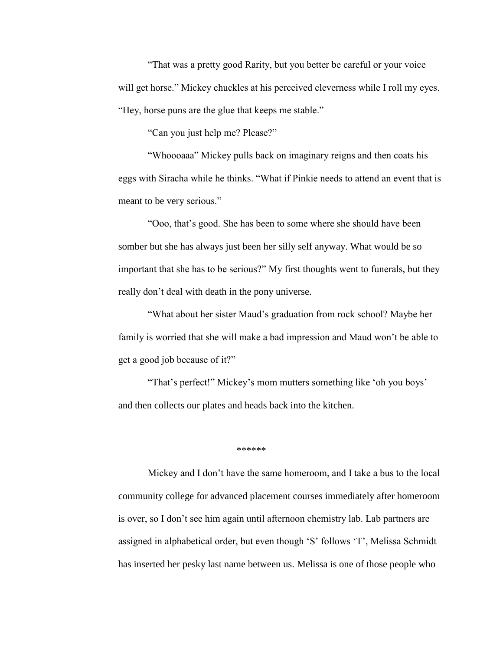"That was a pretty good Rarity, but you better be careful or your voice will get horse." Mickey chuckles at his perceived cleverness while I roll my eyes. "Hey, horse puns are the glue that keeps me stable."

"Can you just help me? Please?"

"Whoooaaa" Mickey pulls back on imaginary reigns and then coats his eggs with Siracha while he thinks. "What if Pinkie needs to attend an event that is meant to be very serious."

"Ooo, that's good. She has been to some where she should have been somber but she has always just been her silly self anyway. What would be so important that she has to be serious?" My first thoughts went to funerals, but they really don't deal with death in the pony universe.

"What about her sister Maud's graduation from rock school? Maybe her family is worried that she will make a bad impression and Maud won't be able to get a good job because of it?"

"That's perfect!" Mickey's mom mutters something like 'oh you boys' and then collects our plates and heads back into the kitchen.

\*\*\*\*\*\*

Mickey and I don't have the same homeroom, and I take a bus to the local community college for advanced placement courses immediately after homeroom is over, so I don't see him again until afternoon chemistry lab. Lab partners are assigned in alphabetical order, but even though 'S' follows 'T', Melissa Schmidt has inserted her pesky last name between us. Melissa is one of those people who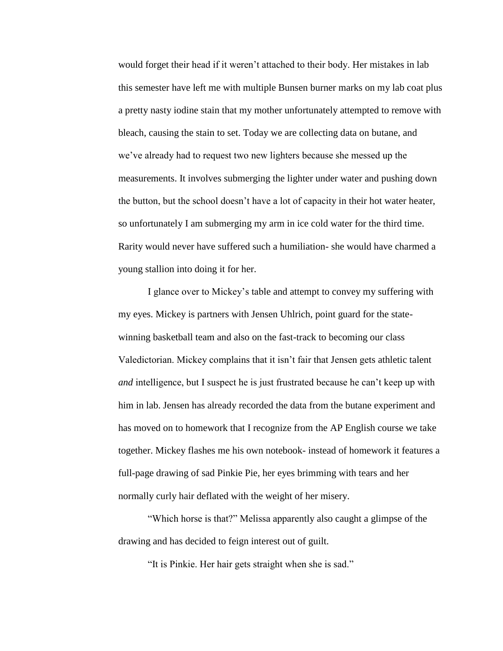would forget their head if it weren't attached to their body. Her mistakes in lab this semester have left me with multiple Bunsen burner marks on my lab coat plus a pretty nasty iodine stain that my mother unfortunately attempted to remove with bleach, causing the stain to set. Today we are collecting data on butane, and we've already had to request two new lighters because she messed up the measurements. It involves submerging the lighter under water and pushing down the button, but the school doesn't have a lot of capacity in their hot water heater, so unfortunately I am submerging my arm in ice cold water for the third time. Rarity would never have suffered such a humiliation- she would have charmed a young stallion into doing it for her.

I glance over to Mickey's table and attempt to convey my suffering with my eyes. Mickey is partners with Jensen Uhlrich, point guard for the statewinning basketball team and also on the fast-track to becoming our class Valedictorian. Mickey complains that it isn't fair that Jensen gets athletic talent *and* intelligence, but I suspect he is just frustrated because he can't keep up with him in lab. Jensen has already recorded the data from the butane experiment and has moved on to homework that I recognize from the AP English course we take together. Mickey flashes me his own notebook- instead of homework it features a full-page drawing of sad Pinkie Pie, her eyes brimming with tears and her normally curly hair deflated with the weight of her misery.

"Which horse is that?" Melissa apparently also caught a glimpse of the drawing and has decided to feign interest out of guilt.

"It is Pinkie. Her hair gets straight when she is sad."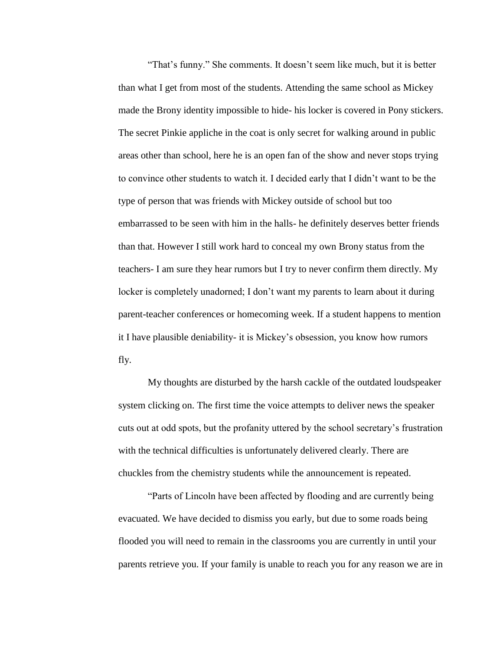"That's funny." She comments. It doesn't seem like much, but it is better than what I get from most of the students. Attending the same school as Mickey made the Brony identity impossible to hide- his locker is covered in Pony stickers. The secret Pinkie appliche in the coat is only secret for walking around in public areas other than school, here he is an open fan of the show and never stops trying to convince other students to watch it. I decided early that I didn't want to be the type of person that was friends with Mickey outside of school but too embarrassed to be seen with him in the halls- he definitely deserves better friends than that. However I still work hard to conceal my own Brony status from the teachers- I am sure they hear rumors but I try to never confirm them directly. My locker is completely unadorned; I don't want my parents to learn about it during parent-teacher conferences or homecoming week. If a student happens to mention it I have plausible deniability- it is Mickey's obsession, you know how rumors fly.

My thoughts are disturbed by the harsh cackle of the outdated loudspeaker system clicking on. The first time the voice attempts to deliver news the speaker cuts out at odd spots, but the profanity uttered by the school secretary's frustration with the technical difficulties is unfortunately delivered clearly. There are chuckles from the chemistry students while the announcement is repeated.

"Parts of Lincoln have been affected by flooding and are currently being evacuated. We have decided to dismiss you early, but due to some roads being flooded you will need to remain in the classrooms you are currently in until your parents retrieve you. If your family is unable to reach you for any reason we are in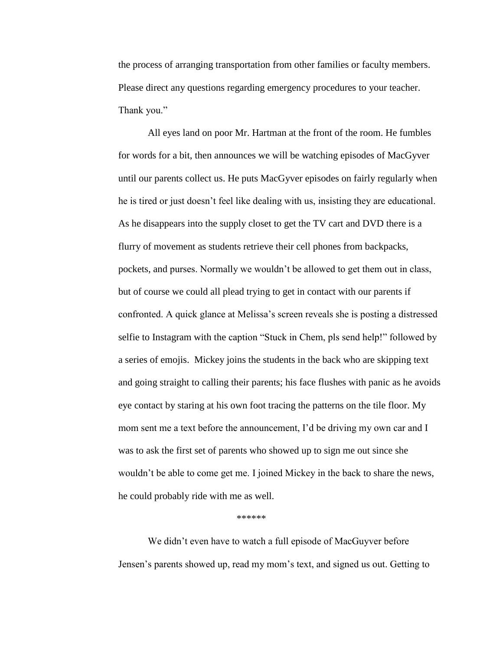the process of arranging transportation from other families or faculty members. Please direct any questions regarding emergency procedures to your teacher. Thank you."

All eyes land on poor Mr. Hartman at the front of the room. He fumbles for words for a bit, then announces we will be watching episodes of MacGyver until our parents collect us. He puts MacGyver episodes on fairly regularly when he is tired or just doesn't feel like dealing with us, insisting they are educational. As he disappears into the supply closet to get the TV cart and DVD there is a flurry of movement as students retrieve their cell phones from backpacks, pockets, and purses. Normally we wouldn't be allowed to get them out in class, but of course we could all plead trying to get in contact with our parents if confronted. A quick glance at Melissa's screen reveals she is posting a distressed selfie to Instagram with the caption "Stuck in Chem, pls send help!" followed by a series of emojis. Mickey joins the students in the back who are skipping text and going straight to calling their parents; his face flushes with panic as he avoids eye contact by staring at his own foot tracing the patterns on the tile floor. My mom sent me a text before the announcement, I'd be driving my own car and I was to ask the first set of parents who showed up to sign me out since she wouldn't be able to come get me. I joined Mickey in the back to share the news, he could probably ride with me as well.

#### \*\*\*\*\*\*

We didn't even have to watch a full episode of MacGuyver before Jensen's parents showed up, read my mom's text, and signed us out. Getting to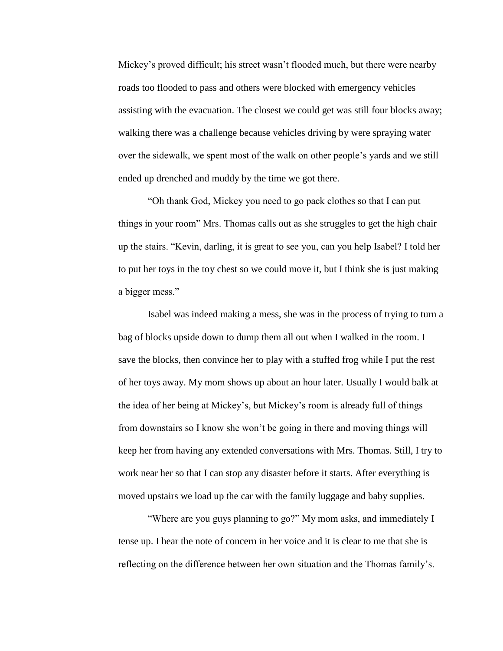Mickey's proved difficult; his street wasn't flooded much, but there were nearby roads too flooded to pass and others were blocked with emergency vehicles assisting with the evacuation. The closest we could get was still four blocks away; walking there was a challenge because vehicles driving by were spraying water over the sidewalk, we spent most of the walk on other people's yards and we still ended up drenched and muddy by the time we got there.

"Oh thank God, Mickey you need to go pack clothes so that I can put things in your room" Mrs. Thomas calls out as she struggles to get the high chair up the stairs. "Kevin, darling, it is great to see you, can you help Isabel? I told her to put her toys in the toy chest so we could move it, but I think she is just making a bigger mess."

Isabel was indeed making a mess, she was in the process of trying to turn a bag of blocks upside down to dump them all out when I walked in the room. I save the blocks, then convince her to play with a stuffed frog while I put the rest of her toys away. My mom shows up about an hour later. Usually I would balk at the idea of her being at Mickey's, but Mickey's room is already full of things from downstairs so I know she won't be going in there and moving things will keep her from having any extended conversations with Mrs. Thomas. Still, I try to work near her so that I can stop any disaster before it starts. After everything is moved upstairs we load up the car with the family luggage and baby supplies.

"Where are you guys planning to go?" My mom asks, and immediately I tense up. I hear the note of concern in her voice and it is clear to me that she is reflecting on the difference between her own situation and the Thomas family's.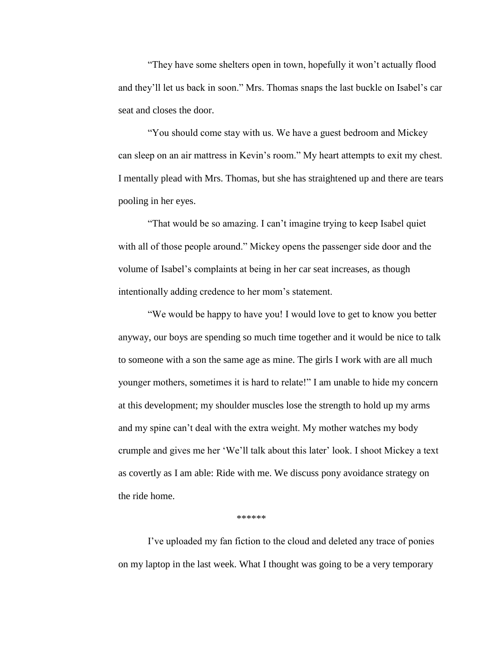"They have some shelters open in town, hopefully it won't actually flood and they'll let us back in soon." Mrs. Thomas snaps the last buckle on Isabel's car seat and closes the door.

"You should come stay with us. We have a guest bedroom and Mickey can sleep on an air mattress in Kevin's room." My heart attempts to exit my chest. I mentally plead with Mrs. Thomas, but she has straightened up and there are tears pooling in her eyes.

"That would be so amazing. I can't imagine trying to keep Isabel quiet with all of those people around." Mickey opens the passenger side door and the volume of Isabel's complaints at being in her car seat increases, as though intentionally adding credence to her mom's statement.

"We would be happy to have you! I would love to get to know you better anyway, our boys are spending so much time together and it would be nice to talk to someone with a son the same age as mine. The girls I work with are all much younger mothers, sometimes it is hard to relate!" I am unable to hide my concern at this development; my shoulder muscles lose the strength to hold up my arms and my spine can't deal with the extra weight. My mother watches my body crumple and gives me her 'We'll talk about this later' look. I shoot Mickey a text as covertly as I am able: Ride with me. We discuss pony avoidance strategy on the ride home.

#### \*\*\*\*\*\*

I've uploaded my fan fiction to the cloud and deleted any trace of ponies on my laptop in the last week. What I thought was going to be a very temporary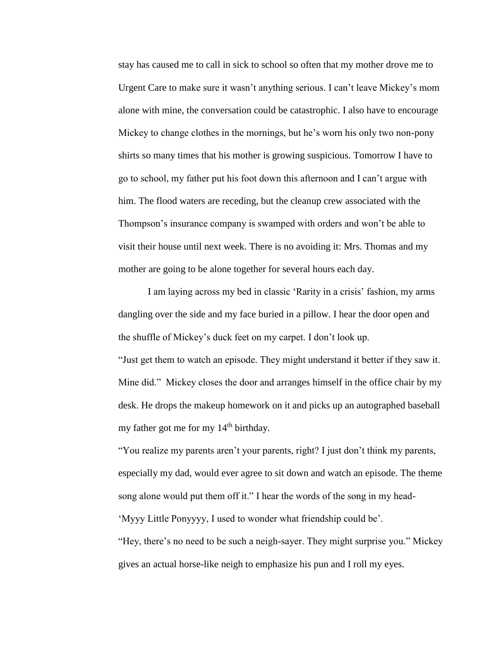stay has caused me to call in sick to school so often that my mother drove me to Urgent Care to make sure it wasn't anything serious. I can't leave Mickey's mom alone with mine, the conversation could be catastrophic. I also have to encourage Mickey to change clothes in the mornings, but he's worn his only two non-pony shirts so many times that his mother is growing suspicious. Tomorrow I have to go to school, my father put his foot down this afternoon and I can't argue with him. The flood waters are receding, but the cleanup crew associated with the Thompson's insurance company is swamped with orders and won't be able to visit their house until next week. There is no avoiding it: Mrs. Thomas and my mother are going to be alone together for several hours each day.

I am laying across my bed in classic 'Rarity in a crisis' fashion, my arms dangling over the side and my face buried in a pillow. I hear the door open and the shuffle of Mickey's duck feet on my carpet. I don't look up.

"Just get them to watch an episode. They might understand it better if they saw it. Mine did." Mickey closes the door and arranges himself in the office chair by my desk. He drops the makeup homework on it and picks up an autographed baseball my father got me for my  $14<sup>th</sup>$  birthday.

"You realize my parents aren't your parents, right? I just don't think my parents, especially my dad, would ever agree to sit down and watch an episode. The theme song alone would put them off it." I hear the words of the song in my head-

'Myyy Little Ponyyyy, I used to wonder what friendship could be'.

"Hey, there's no need to be such a neigh-sayer. They might surprise you." Mickey gives an actual horse-like neigh to emphasize his pun and I roll my eyes.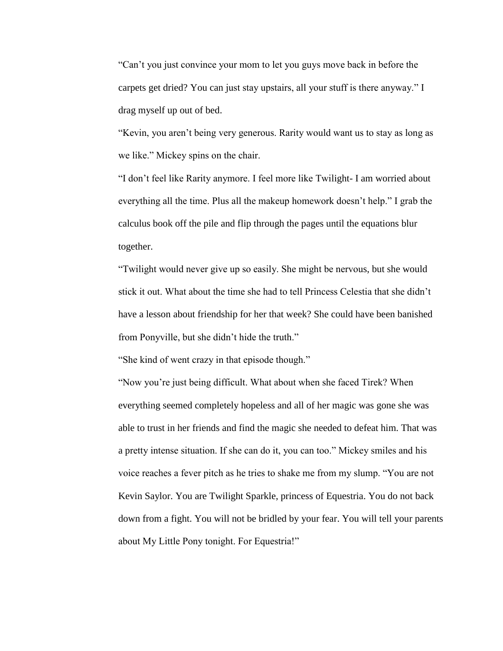"Can't you just convince your mom to let you guys move back in before the carpets get dried? You can just stay upstairs, all your stuff is there anyway." I drag myself up out of bed.

"Kevin, you aren't being very generous. Rarity would want us to stay as long as we like." Mickey spins on the chair.

"I don't feel like Rarity anymore. I feel more like Twilight- I am worried about everything all the time. Plus all the makeup homework doesn't help." I grab the calculus book off the pile and flip through the pages until the equations blur together.

"Twilight would never give up so easily. She might be nervous, but she would stick it out. What about the time she had to tell Princess Celestia that she didn't have a lesson about friendship for her that week? She could have been banished from Ponyville, but she didn't hide the truth."

"She kind of went crazy in that episode though."

"Now you're just being difficult. What about when she faced Tirek? When everything seemed completely hopeless and all of her magic was gone she was able to trust in her friends and find the magic she needed to defeat him. That was a pretty intense situation. If she can do it, you can too." Mickey smiles and his voice reaches a fever pitch as he tries to shake me from my slump. "You are not Kevin Saylor. You are Twilight Sparkle, princess of Equestria. You do not back down from a fight. You will not be bridled by your fear. You will tell your parents about My Little Pony tonight. For Equestria!"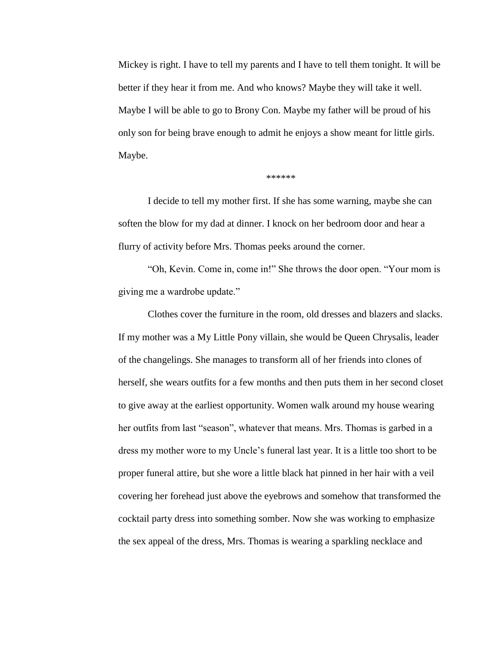Mickey is right. I have to tell my parents and I have to tell them tonight. It will be better if they hear it from me. And who knows? Maybe they will take it well. Maybe I will be able to go to Brony Con. Maybe my father will be proud of his only son for being brave enough to admit he enjoys a show meant for little girls. Maybe.

#### \*\*\*\*\*\*

I decide to tell my mother first. If she has some warning, maybe she can soften the blow for my dad at dinner. I knock on her bedroom door and hear a flurry of activity before Mrs. Thomas peeks around the corner.

"Oh, Kevin. Come in, come in!" She throws the door open. "Your mom is giving me a wardrobe update."

Clothes cover the furniture in the room, old dresses and blazers and slacks. If my mother was a My Little Pony villain, she would be Queen Chrysalis, leader of the changelings. She manages to transform all of her friends into clones of herself, she wears outfits for a few months and then puts them in her second closet to give away at the earliest opportunity. Women walk around my house wearing her outfits from last "season", whatever that means. Mrs. Thomas is garbed in a dress my mother wore to my Uncle's funeral last year. It is a little too short to be proper funeral attire, but she wore a little black hat pinned in her hair with a veil covering her forehead just above the eyebrows and somehow that transformed the cocktail party dress into something somber. Now she was working to emphasize the sex appeal of the dress, Mrs. Thomas is wearing a sparkling necklace and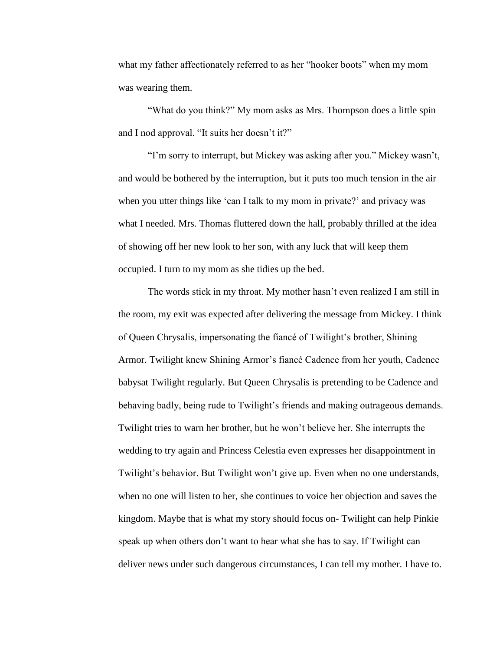what my father affectionately referred to as her "hooker boots" when my mom was wearing them.

"What do you think?" My mom asks as Mrs. Thompson does a little spin and I nod approval. "It suits her doesn't it?"

"I'm sorry to interrupt, but Mickey was asking after you." Mickey wasn't, and would be bothered by the interruption, but it puts too much tension in the air when you utter things like 'can I talk to my mom in private?' and privacy was what I needed. Mrs. Thomas fluttered down the hall, probably thrilled at the idea of showing off her new look to her son, with any luck that will keep them occupied. I turn to my mom as she tidies up the bed.

The words stick in my throat. My mother hasn't even realized I am still in the room, my exit was expected after delivering the message from Mickey. I think of Queen Chrysalis, impersonating the fiancé of Twilight's brother, Shining Armor. Twilight knew Shining Armor's fiancé Cadence from her youth, Cadence babysat Twilight regularly. But Queen Chrysalis is pretending to be Cadence and behaving badly, being rude to Twilight's friends and making outrageous demands. Twilight tries to warn her brother, but he won't believe her. She interrupts the wedding to try again and Princess Celestia even expresses her disappointment in Twilight's behavior. But Twilight won't give up. Even when no one understands, when no one will listen to her, she continues to voice her objection and saves the kingdom. Maybe that is what my story should focus on- Twilight can help Pinkie speak up when others don't want to hear what she has to say. If Twilight can deliver news under such dangerous circumstances, I can tell my mother. I have to.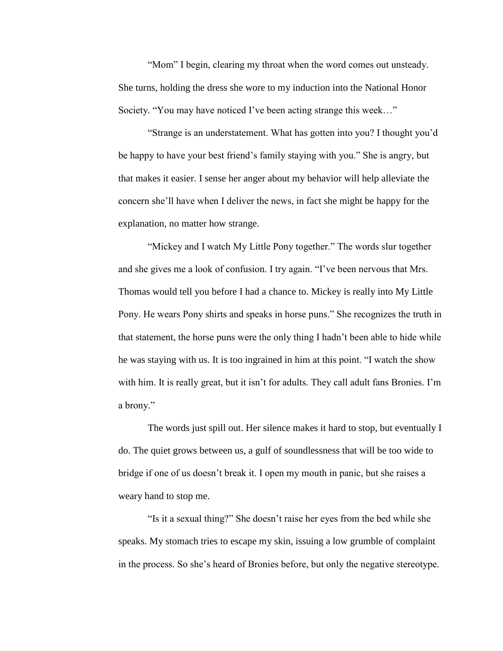"Mom" I begin, clearing my throat when the word comes out unsteady. She turns, holding the dress she wore to my induction into the National Honor Society. "You may have noticed I've been acting strange this week…"

"Strange is an understatement. What has gotten into you? I thought you'd be happy to have your best friend's family staying with you." She is angry, but that makes it easier. I sense her anger about my behavior will help alleviate the concern she'll have when I deliver the news, in fact she might be happy for the explanation, no matter how strange.

"Mickey and I watch My Little Pony together." The words slur together and she gives me a look of confusion. I try again. "I've been nervous that Mrs. Thomas would tell you before I had a chance to. Mickey is really into My Little Pony. He wears Pony shirts and speaks in horse puns." She recognizes the truth in that statement, the horse puns were the only thing I hadn't been able to hide while he was staying with us. It is too ingrained in him at this point. "I watch the show with him. It is really great, but it isn't for adults. They call adult fans Bronies. I'm a brony."

The words just spill out. Her silence makes it hard to stop, but eventually I do. The quiet grows between us, a gulf of soundlessness that will be too wide to bridge if one of us doesn't break it. I open my mouth in panic, but she raises a weary hand to stop me.

"Is it a sexual thing?" She doesn't raise her eyes from the bed while she speaks. My stomach tries to escape my skin, issuing a low grumble of complaint in the process. So she's heard of Bronies before, but only the negative stereotype.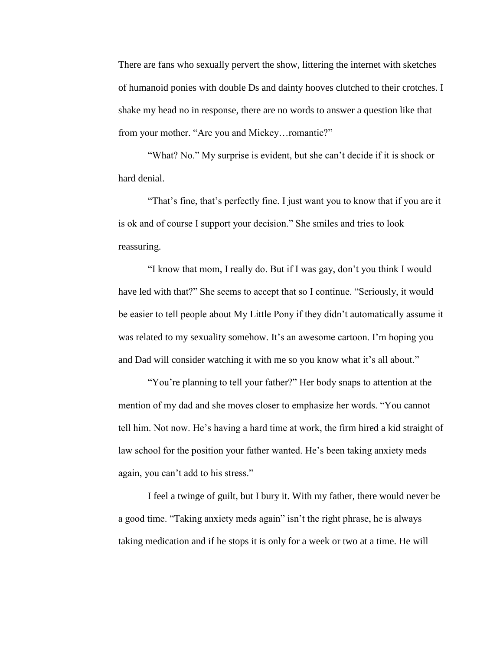There are fans who sexually pervert the show, littering the internet with sketches of humanoid ponies with double Ds and dainty hooves clutched to their crotches. I shake my head no in response, there are no words to answer a question like that from your mother. "Are you and Mickey…romantic?"

"What? No." My surprise is evident, but she can't decide if it is shock or hard denial.

"That's fine, that's perfectly fine. I just want you to know that if you are it is ok and of course I support your decision." She smiles and tries to look reassuring.

"I know that mom, I really do. But if I was gay, don't you think I would have led with that?" She seems to accept that so I continue. "Seriously, it would be easier to tell people about My Little Pony if they didn't automatically assume it was related to my sexuality somehow. It's an awesome cartoon. I'm hoping you and Dad will consider watching it with me so you know what it's all about."

"You're planning to tell your father?" Her body snaps to attention at the mention of my dad and she moves closer to emphasize her words. "You cannot tell him. Not now. He's having a hard time at work, the firm hired a kid straight of law school for the position your father wanted. He's been taking anxiety meds again, you can't add to his stress."

I feel a twinge of guilt, but I bury it. With my father, there would never be a good time. "Taking anxiety meds again" isn't the right phrase, he is always taking medication and if he stops it is only for a week or two at a time. He will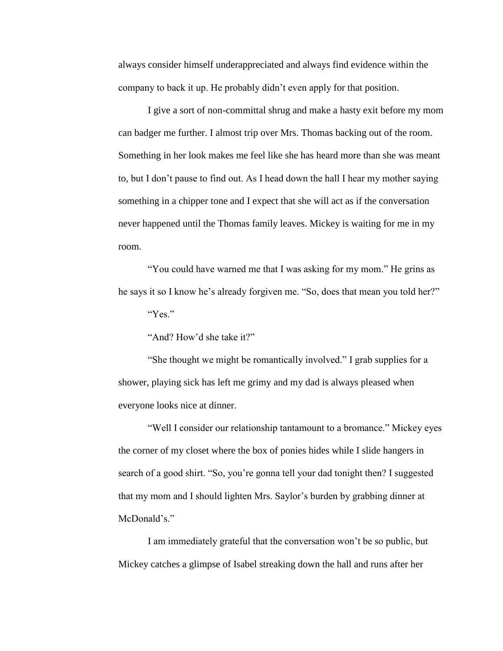always consider himself underappreciated and always find evidence within the company to back it up. He probably didn't even apply for that position.

I give a sort of non-committal shrug and make a hasty exit before my mom can badger me further. I almost trip over Mrs. Thomas backing out of the room. Something in her look makes me feel like she has heard more than she was meant to, but I don't pause to find out. As I head down the hall I hear my mother saying something in a chipper tone and I expect that she will act as if the conversation never happened until the Thomas family leaves. Mickey is waiting for me in my room.

"You could have warned me that I was asking for my mom." He grins as he says it so I know he's already forgiven me. "So, does that mean you told her?" "Yes."

"And? How'd she take it?"

"She thought we might be romantically involved." I grab supplies for a shower, playing sick has left me grimy and my dad is always pleased when everyone looks nice at dinner.

"Well I consider our relationship tantamount to a bromance." Mickey eyes the corner of my closet where the box of ponies hides while I slide hangers in search of a good shirt. "So, you're gonna tell your dad tonight then? I suggested that my mom and I should lighten Mrs. Saylor's burden by grabbing dinner at McDonald's."

I am immediately grateful that the conversation won't be so public, but Mickey catches a glimpse of Isabel streaking down the hall and runs after her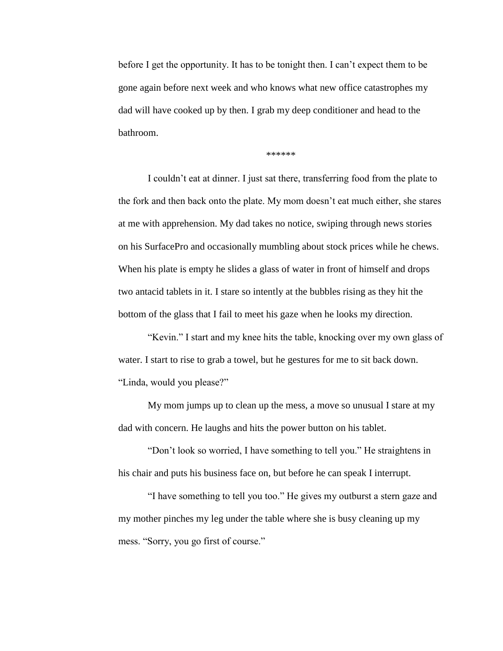before I get the opportunity. It has to be tonight then. I can't expect them to be gone again before next week and who knows what new office catastrophes my dad will have cooked up by then. I grab my deep conditioner and head to the bathroom.

\*\*\*\*\*\*

I couldn't eat at dinner. I just sat there, transferring food from the plate to the fork and then back onto the plate. My mom doesn't eat much either, she stares at me with apprehension. My dad takes no notice, swiping through news stories on his SurfacePro and occasionally mumbling about stock prices while he chews. When his plate is empty he slides a glass of water in front of himself and drops two antacid tablets in it. I stare so intently at the bubbles rising as they hit the bottom of the glass that I fail to meet his gaze when he looks my direction.

"Kevin." I start and my knee hits the table, knocking over my own glass of water. I start to rise to grab a towel, but he gestures for me to sit back down. "Linda, would you please?"

My mom jumps up to clean up the mess, a move so unusual I stare at my dad with concern. He laughs and hits the power button on his tablet.

"Don't look so worried, I have something to tell you." He straightens in his chair and puts his business face on, but before he can speak I interrupt.

"I have something to tell you too." He gives my outburst a stern gaze and my mother pinches my leg under the table where she is busy cleaning up my mess. "Sorry, you go first of course."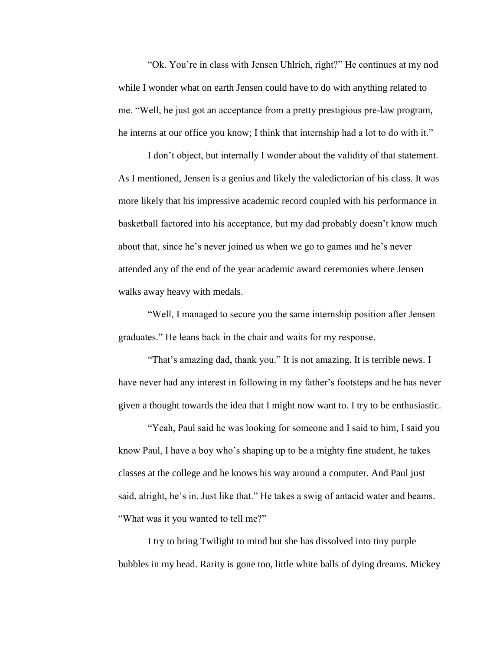"Ok. You're in class with Jensen Uhlrich, right?" He continues at my nod while I wonder what on earth Jensen could have to do with anything related to me. "Well, he just got an acceptance from a pretty prestigious pre-law program, he interns at our office you know; I think that internship had a lot to do with it."

I don't object, but internally I wonder about the validity of that statement. As I mentioned, Jensen is a genius and likely the valedictorian of his class. It was more likely that his impressive academic record coupled with his performance in basketball factored into his acceptance, but my dad probably doesn't know much about that, since he's never joined us when we go to games and he's never attended any of the end of the year academic award ceremonies where Jensen walks away heavy with medals.

"Well, I managed to secure you the same internship position after Jensen graduates." He leans back in the chair and waits for my response.

"That's amazing dad, thank you." It is not amazing. It is terrible news. I have never had any interest in following in my father's footsteps and he has never given a thought towards the idea that I might now want to. I try to be enthusiastic.

"Yeah, Paul said he was looking for someone and I said to him, I said you know Paul, I have a boy who's shaping up to be a mighty fine student, he takes classes at the college and he knows his way around a computer. And Paul just said, alright, he's in. Just like that." He takes a swig of antacid water and beams. "What was it you wanted to tell me?"

I try to bring Twilight to mind but she has dissolved into tiny purple bubbles in my head. Rarity is gone too, little white balls of dying dreams. Mickey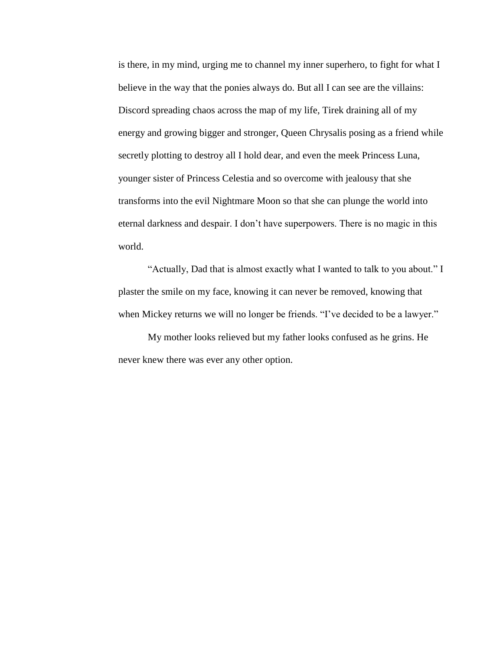is there, in my mind, urging me to channel my inner superhero, to fight for what I believe in the way that the ponies always do. But all I can see are the villains: Discord spreading chaos across the map of my life, Tirek draining all of my energy and growing bigger and stronger, Queen Chrysalis posing as a friend while secretly plotting to destroy all I hold dear, and even the meek Princess Luna, younger sister of Princess Celestia and so overcome with jealousy that she transforms into the evil Nightmare Moon so that she can plunge the world into eternal darkness and despair. I don't have superpowers. There is no magic in this world.

"Actually, Dad that is almost exactly what I wanted to talk to you about." I plaster the smile on my face, knowing it can never be removed, knowing that when Mickey returns we will no longer be friends. "I've decided to be a lawyer."

My mother looks relieved but my father looks confused as he grins. He never knew there was ever any other option.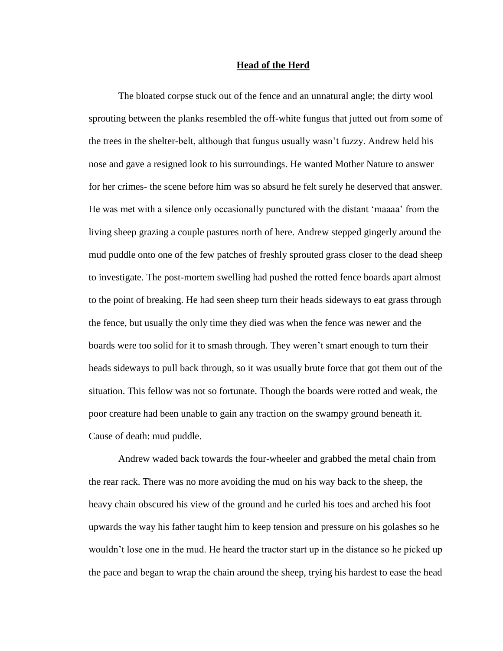#### **Head of the Herd**

<span id="page-48-0"></span>The bloated corpse stuck out of the fence and an unnatural angle; the dirty wool sprouting between the planks resembled the off-white fungus that jutted out from some of the trees in the shelter-belt, although that fungus usually wasn't fuzzy. Andrew held his nose and gave a resigned look to his surroundings. He wanted Mother Nature to answer for her crimes- the scene before him was so absurd he felt surely he deserved that answer. He was met with a silence only occasionally punctured with the distant 'maaaa' from the living sheep grazing a couple pastures north of here. Andrew stepped gingerly around the mud puddle onto one of the few patches of freshly sprouted grass closer to the dead sheep to investigate. The post-mortem swelling had pushed the rotted fence boards apart almost to the point of breaking. He had seen sheep turn their heads sideways to eat grass through the fence, but usually the only time they died was when the fence was newer and the boards were too solid for it to smash through. They weren't smart enough to turn their heads sideways to pull back through, so it was usually brute force that got them out of the situation. This fellow was not so fortunate. Though the boards were rotted and weak, the poor creature had been unable to gain any traction on the swampy ground beneath it. Cause of death: mud puddle.

Andrew waded back towards the four-wheeler and grabbed the metal chain from the rear rack. There was no more avoiding the mud on his way back to the sheep, the heavy chain obscured his view of the ground and he curled his toes and arched his foot upwards the way his father taught him to keep tension and pressure on his golashes so he wouldn't lose one in the mud. He heard the tractor start up in the distance so he picked up the pace and began to wrap the chain around the sheep, trying his hardest to ease the head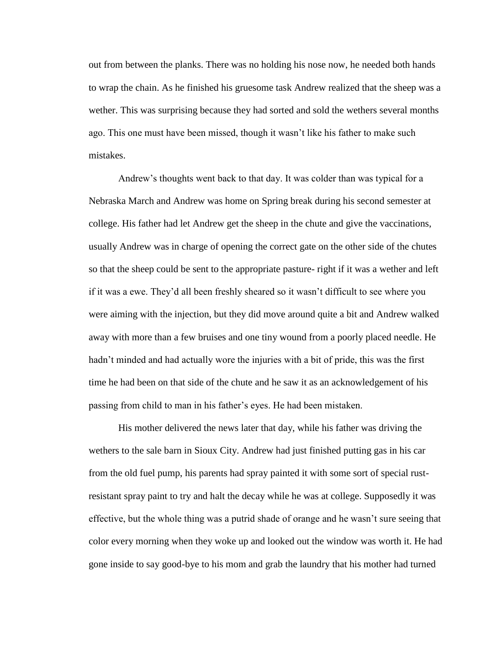out from between the planks. There was no holding his nose now, he needed both hands to wrap the chain. As he finished his gruesome task Andrew realized that the sheep was a wether. This was surprising because they had sorted and sold the wethers several months ago. This one must have been missed, though it wasn't like his father to make such mistakes.

Andrew's thoughts went back to that day. It was colder than was typical for a Nebraska March and Andrew was home on Spring break during his second semester at college. His father had let Andrew get the sheep in the chute and give the vaccinations, usually Andrew was in charge of opening the correct gate on the other side of the chutes so that the sheep could be sent to the appropriate pasture- right if it was a wether and left if it was a ewe. They'd all been freshly sheared so it wasn't difficult to see where you were aiming with the injection, but they did move around quite a bit and Andrew walked away with more than a few bruises and one tiny wound from a poorly placed needle. He hadn't minded and had actually wore the injuries with a bit of pride, this was the first time he had been on that side of the chute and he saw it as an acknowledgement of his passing from child to man in his father's eyes. He had been mistaken.

His mother delivered the news later that day, while his father was driving the wethers to the sale barn in Sioux City. Andrew had just finished putting gas in his car from the old fuel pump, his parents had spray painted it with some sort of special rustresistant spray paint to try and halt the decay while he was at college. Supposedly it was effective, but the whole thing was a putrid shade of orange and he wasn't sure seeing that color every morning when they woke up and looked out the window was worth it. He had gone inside to say good-bye to his mom and grab the laundry that his mother had turned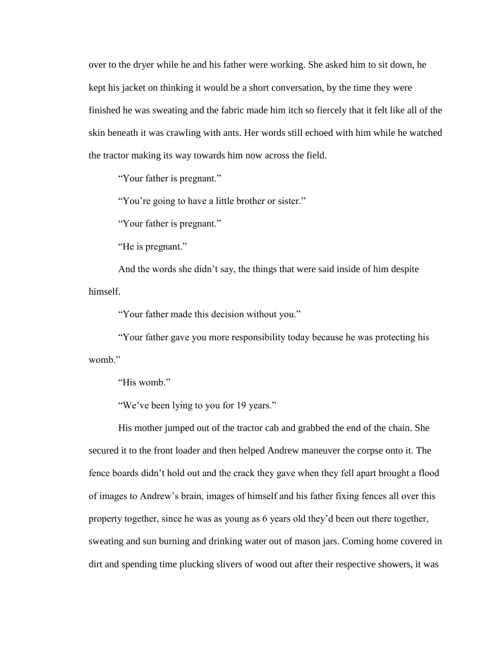over to the dryer while he and his father were working. She asked him to sit down, he kept his jacket on thinking it would be a short conversation, by the time they were finished he was sweating and the fabric made him itch so fiercely that it felt like all of the skin beneath it was crawling with ants. Her words still echoed with him while he watched the tractor making its way towards him now across the field.

"Your father is pregnant."

"You're going to have a little brother or sister."

"Your father is pregnant."

"He is pregnant."

And the words she didn't say, the things that were said inside of him despite himself.

"Your father made this decision without you."

"Your father gave you more responsibility today because he was protecting his womb."

"His womb."

"We've been lying to you for 19 years."

His mother jumped out of the tractor cab and grabbed the end of the chain. She secured it to the front loader and then helped Andrew maneuver the corpse onto it. The fence boards didn't hold out and the crack they gave when they fell apart brought a flood of images to Andrew's brain, images of himself and his father fixing fences all over this property together, since he was as young as 6 years old they'd been out there together, sweating and sun burning and drinking water out of mason jars. Coming home covered in dirt and spending time plucking slivers of wood out after their respective showers, it was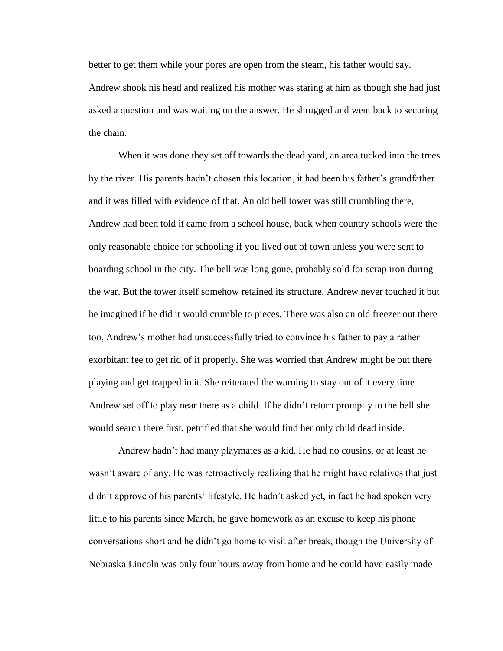better to get them while your pores are open from the steam, his father would say. Andrew shook his head and realized his mother was staring at him as though she had just asked a question and was waiting on the answer. He shrugged and went back to securing the chain.

When it was done they set off towards the dead yard, an area tucked into the trees by the river. His parents hadn't chosen this location, it had been his father's grandfather and it was filled with evidence of that. An old bell tower was still crumbling there, Andrew had been told it came from a school house, back when country schools were the only reasonable choice for schooling if you lived out of town unless you were sent to boarding school in the city. The bell was long gone, probably sold for scrap iron during the war. But the tower itself somehow retained its structure, Andrew never touched it but he imagined if he did it would crumble to pieces. There was also an old freezer out there too, Andrew's mother had unsuccessfully tried to convince his father to pay a rather exorbitant fee to get rid of it properly. She was worried that Andrew might be out there playing and get trapped in it. She reiterated the warning to stay out of it every time Andrew set off to play near there as a child. If he didn't return promptly to the bell she would search there first, petrified that she would find her only child dead inside.

Andrew hadn't had many playmates as a kid. He had no cousins, or at least he wasn't aware of any. He was retroactively realizing that he might have relatives that just didn't approve of his parents' lifestyle. He hadn't asked yet, in fact he had spoken very little to his parents since March, he gave homework as an excuse to keep his phone conversations short and he didn't go home to visit after break, though the University of Nebraska Lincoln was only four hours away from home and he could have easily made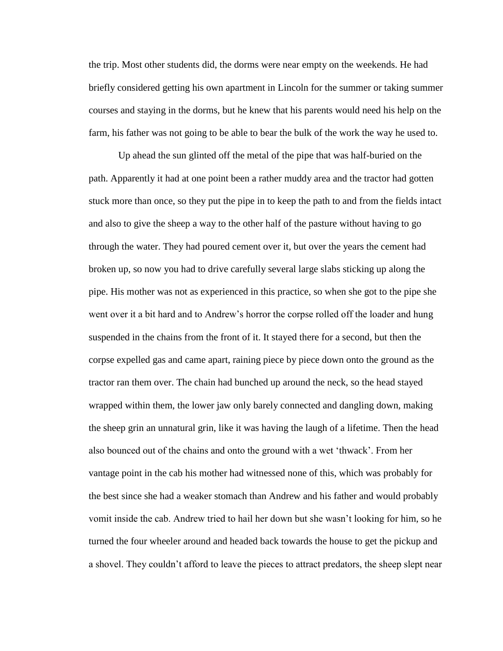the trip. Most other students did, the dorms were near empty on the weekends. He had briefly considered getting his own apartment in Lincoln for the summer or taking summer courses and staying in the dorms, but he knew that his parents would need his help on the farm, his father was not going to be able to bear the bulk of the work the way he used to.

Up ahead the sun glinted off the metal of the pipe that was half-buried on the path. Apparently it had at one point been a rather muddy area and the tractor had gotten stuck more than once, so they put the pipe in to keep the path to and from the fields intact and also to give the sheep a way to the other half of the pasture without having to go through the water. They had poured cement over it, but over the years the cement had broken up, so now you had to drive carefully several large slabs sticking up along the pipe. His mother was not as experienced in this practice, so when she got to the pipe she went over it a bit hard and to Andrew's horror the corpse rolled off the loader and hung suspended in the chains from the front of it. It stayed there for a second, but then the corpse expelled gas and came apart, raining piece by piece down onto the ground as the tractor ran them over. The chain had bunched up around the neck, so the head stayed wrapped within them, the lower jaw only barely connected and dangling down, making the sheep grin an unnatural grin, like it was having the laugh of a lifetime. Then the head also bounced out of the chains and onto the ground with a wet 'thwack'. From her vantage point in the cab his mother had witnessed none of this, which was probably for the best since she had a weaker stomach than Andrew and his father and would probably vomit inside the cab. Andrew tried to hail her down but she wasn't looking for him, so he turned the four wheeler around and headed back towards the house to get the pickup and a shovel. They couldn't afford to leave the pieces to attract predators, the sheep slept near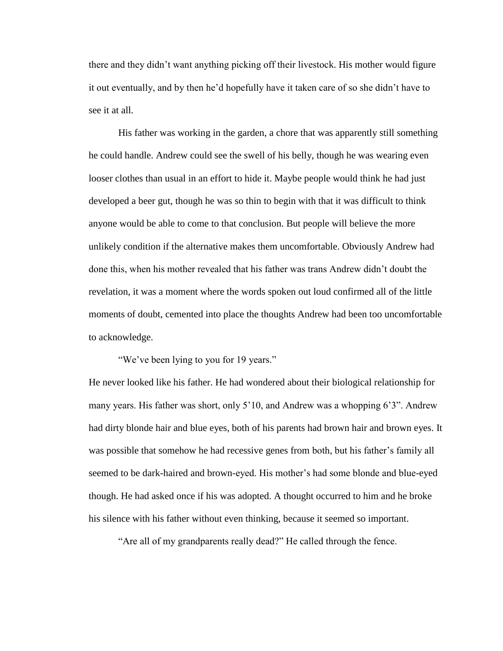there and they didn't want anything picking off their livestock. His mother would figure it out eventually, and by then he'd hopefully have it taken care of so she didn't have to see it at all.

His father was working in the garden, a chore that was apparently still something he could handle. Andrew could see the swell of his belly, though he was wearing even looser clothes than usual in an effort to hide it. Maybe people would think he had just developed a beer gut, though he was so thin to begin with that it was difficult to think anyone would be able to come to that conclusion. But people will believe the more unlikely condition if the alternative makes them uncomfortable. Obviously Andrew had done this, when his mother revealed that his father was trans Andrew didn't doubt the revelation, it was a moment where the words spoken out loud confirmed all of the little moments of doubt, cemented into place the thoughts Andrew had been too uncomfortable to acknowledge.

"We've been lying to you for 19 years."

He never looked like his father. He had wondered about their biological relationship for many years. His father was short, only 5'10, and Andrew was a whopping 6'3". Andrew had dirty blonde hair and blue eyes, both of his parents had brown hair and brown eyes. It was possible that somehow he had recessive genes from both, but his father's family all seemed to be dark-haired and brown-eyed. His mother's had some blonde and blue-eyed though. He had asked once if his was adopted. A thought occurred to him and he broke his silence with his father without even thinking, because it seemed so important.

"Are all of my grandparents really dead?" He called through the fence.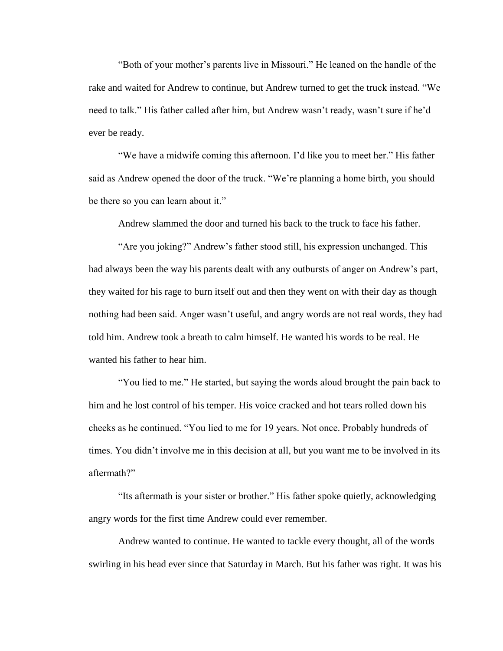"Both of your mother's parents live in Missouri." He leaned on the handle of the rake and waited for Andrew to continue, but Andrew turned to get the truck instead. "We need to talk." His father called after him, but Andrew wasn't ready, wasn't sure if he'd ever be ready.

"We have a midwife coming this afternoon. I'd like you to meet her." His father said as Andrew opened the door of the truck. "We're planning a home birth, you should be there so you can learn about it."

Andrew slammed the door and turned his back to the truck to face his father.

"Are you joking?" Andrew's father stood still, his expression unchanged. This had always been the way his parents dealt with any outbursts of anger on Andrew's part, they waited for his rage to burn itself out and then they went on with their day as though nothing had been said. Anger wasn't useful, and angry words are not real words, they had told him. Andrew took a breath to calm himself. He wanted his words to be real. He wanted his father to hear him.

"You lied to me." He started, but saying the words aloud brought the pain back to him and he lost control of his temper. His voice cracked and hot tears rolled down his cheeks as he continued. "You lied to me for 19 years. Not once. Probably hundreds of times. You didn't involve me in this decision at all, but you want me to be involved in its aftermath?"

"Its aftermath is your sister or brother." His father spoke quietly, acknowledging angry words for the first time Andrew could ever remember.

Andrew wanted to continue. He wanted to tackle every thought, all of the words swirling in his head ever since that Saturday in March. But his father was right. It was his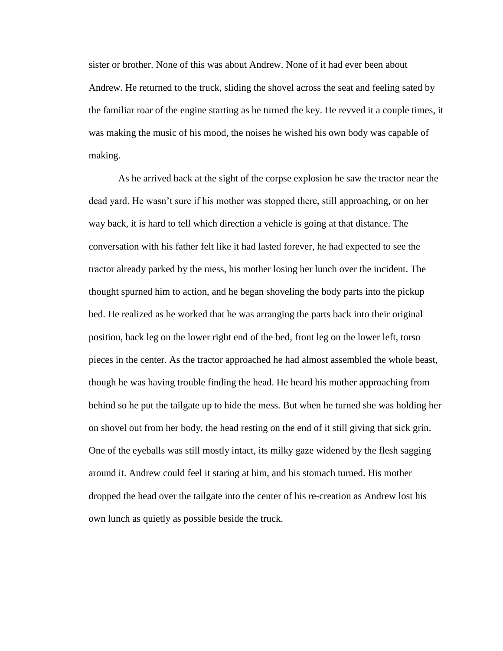sister or brother. None of this was about Andrew. None of it had ever been about Andrew. He returned to the truck, sliding the shovel across the seat and feeling sated by the familiar roar of the engine starting as he turned the key. He revved it a couple times, it was making the music of his mood, the noises he wished his own body was capable of making.

As he arrived back at the sight of the corpse explosion he saw the tractor near the dead yard. He wasn't sure if his mother was stopped there, still approaching, or on her way back, it is hard to tell which direction a vehicle is going at that distance. The conversation with his father felt like it had lasted forever, he had expected to see the tractor already parked by the mess, his mother losing her lunch over the incident. The thought spurned him to action, and he began shoveling the body parts into the pickup bed. He realized as he worked that he was arranging the parts back into their original position, back leg on the lower right end of the bed, front leg on the lower left, torso pieces in the center. As the tractor approached he had almost assembled the whole beast, though he was having trouble finding the head. He heard his mother approaching from behind so he put the tailgate up to hide the mess. But when he turned she was holding her on shovel out from her body, the head resting on the end of it still giving that sick grin. One of the eyeballs was still mostly intact, its milky gaze widened by the flesh sagging around it. Andrew could feel it staring at him, and his stomach turned. His mother dropped the head over the tailgate into the center of his re-creation as Andrew lost his own lunch as quietly as possible beside the truck.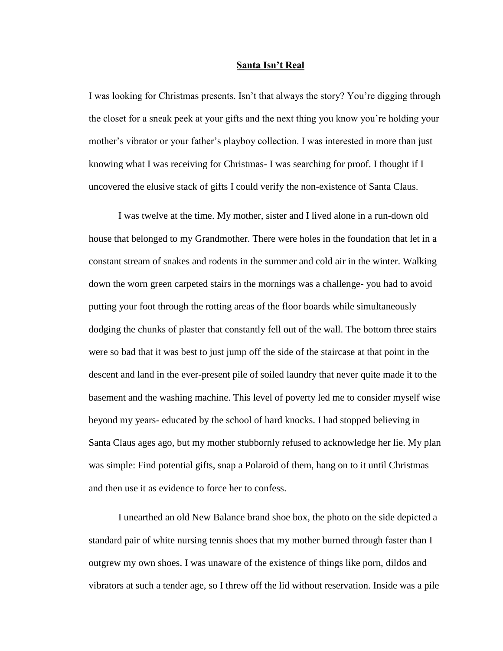#### **Santa Isn't Real**

<span id="page-56-0"></span>I was looking for Christmas presents. Isn't that always the story? You're digging through the closet for a sneak peek at your gifts and the next thing you know you're holding your mother's vibrator or your father's playboy collection. I was interested in more than just knowing what I was receiving for Christmas- I was searching for proof. I thought if I uncovered the elusive stack of gifts I could verify the non-existence of Santa Claus.

I was twelve at the time. My mother, sister and I lived alone in a run-down old house that belonged to my Grandmother. There were holes in the foundation that let in a constant stream of snakes and rodents in the summer and cold air in the winter. Walking down the worn green carpeted stairs in the mornings was a challenge- you had to avoid putting your foot through the rotting areas of the floor boards while simultaneously dodging the chunks of plaster that constantly fell out of the wall. The bottom three stairs were so bad that it was best to just jump off the side of the staircase at that point in the descent and land in the ever-present pile of soiled laundry that never quite made it to the basement and the washing machine. This level of poverty led me to consider myself wise beyond my years- educated by the school of hard knocks. I had stopped believing in Santa Claus ages ago, but my mother stubbornly refused to acknowledge her lie. My plan was simple: Find potential gifts, snap a Polaroid of them, hang on to it until Christmas and then use it as evidence to force her to confess.

I unearthed an old New Balance brand shoe box, the photo on the side depicted a standard pair of white nursing tennis shoes that my mother burned through faster than I outgrew my own shoes. I was unaware of the existence of things like porn, dildos and vibrators at such a tender age, so I threw off the lid without reservation. Inside was a pile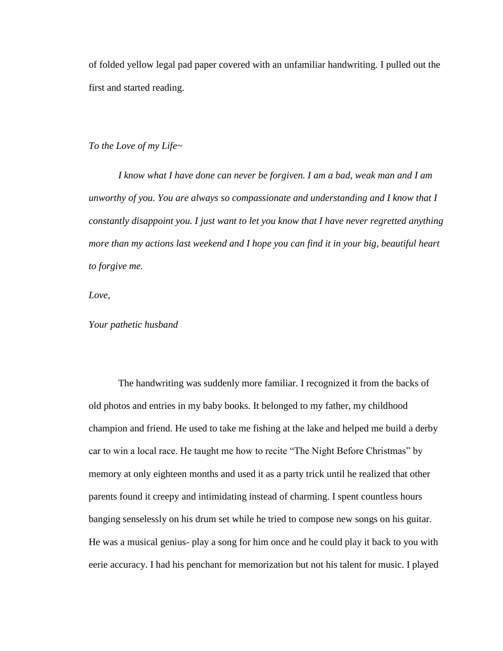of folded yellow legal pad paper covered with an unfamiliar handwriting. I pulled out the first and started reading.

*To the Love of my Life~*

*I know what I have done can never be forgiven. I am a bad, weak man and I am unworthy of you. You are always so compassionate and understanding and I know that I constantly disappoint you. I just want to let you know that I have never regretted anything more than my actions last weekend and I hope you can find it in your big, beautiful heart to forgive me.*

*Love,*

*Your pathetic husband*

The handwriting was suddenly more familiar. I recognized it from the backs of old photos and entries in my baby books. It belonged to my father, my childhood champion and friend. He used to take me fishing at the lake and helped me build a derby car to win a local race. He taught me how to recite "The Night Before Christmas" by memory at only eighteen months and used it as a party trick until he realized that other parents found it creepy and intimidating instead of charming. I spent countless hours banging senselessly on his drum set while he tried to compose new songs on his guitar. He was a musical genius- play a song for him once and he could play it back to you with eerie accuracy. I had his penchant for memorization but not his talent for music. I played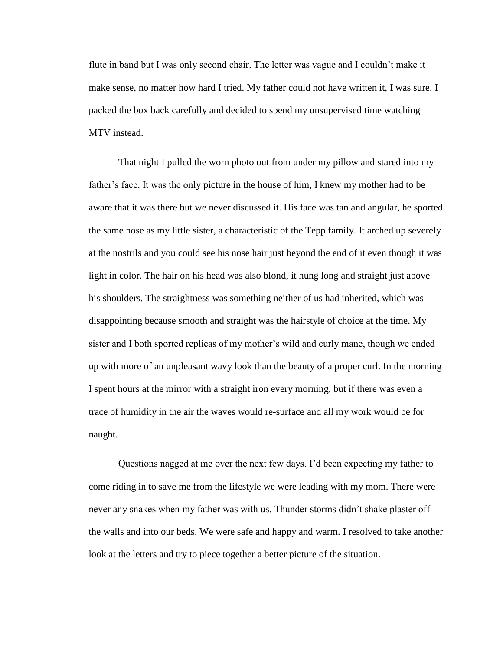flute in band but I was only second chair. The letter was vague and I couldn't make it make sense, no matter how hard I tried. My father could not have written it, I was sure. I packed the box back carefully and decided to spend my unsupervised time watching MTV instead.

That night I pulled the worn photo out from under my pillow and stared into my father's face. It was the only picture in the house of him, I knew my mother had to be aware that it was there but we never discussed it. His face was tan and angular, he sported the same nose as my little sister, a characteristic of the Tepp family. It arched up severely at the nostrils and you could see his nose hair just beyond the end of it even though it was light in color. The hair on his head was also blond, it hung long and straight just above his shoulders. The straightness was something neither of us had inherited, which was disappointing because smooth and straight was the hairstyle of choice at the time. My sister and I both sported replicas of my mother's wild and curly mane, though we ended up with more of an unpleasant wavy look than the beauty of a proper curl. In the morning I spent hours at the mirror with a straight iron every morning, but if there was even a trace of humidity in the air the waves would re-surface and all my work would be for naught.

Questions nagged at me over the next few days. I'd been expecting my father to come riding in to save me from the lifestyle we were leading with my mom. There were never any snakes when my father was with us. Thunder storms didn't shake plaster off the walls and into our beds. We were safe and happy and warm. I resolved to take another look at the letters and try to piece together a better picture of the situation.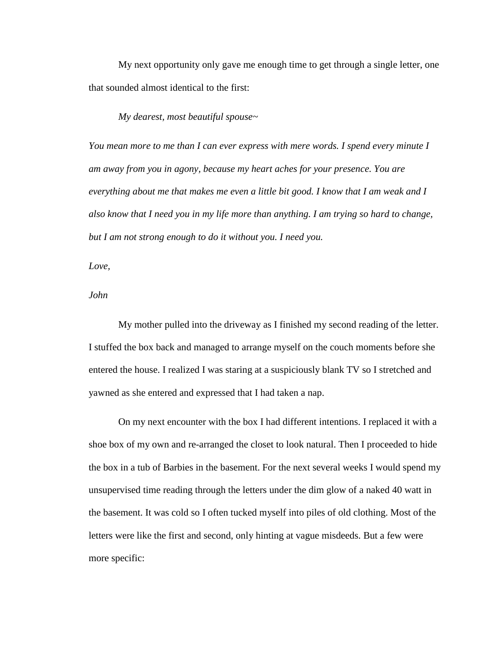My next opportunity only gave me enough time to get through a single letter, one that sounded almost identical to the first:

## *My dearest, most beautiful spouse~*

*You mean more to me than I can ever express with mere words. I spend every minute I am away from you in agony, because my heart aches for your presence. You are everything about me that makes me even a little bit good. I know that I am weak and I also know that I need you in my life more than anything. I am trying so hard to change, but I am not strong enough to do it without you. I need you.*

*Love,*

*John*

My mother pulled into the driveway as I finished my second reading of the letter. I stuffed the box back and managed to arrange myself on the couch moments before she entered the house. I realized I was staring at a suspiciously blank TV so I stretched and yawned as she entered and expressed that I had taken a nap.

On my next encounter with the box I had different intentions. I replaced it with a shoe box of my own and re-arranged the closet to look natural. Then I proceeded to hide the box in a tub of Barbies in the basement. For the next several weeks I would spend my unsupervised time reading through the letters under the dim glow of a naked 40 watt in the basement. It was cold so I often tucked myself into piles of old clothing. Most of the letters were like the first and second, only hinting at vague misdeeds. But a few were more specific: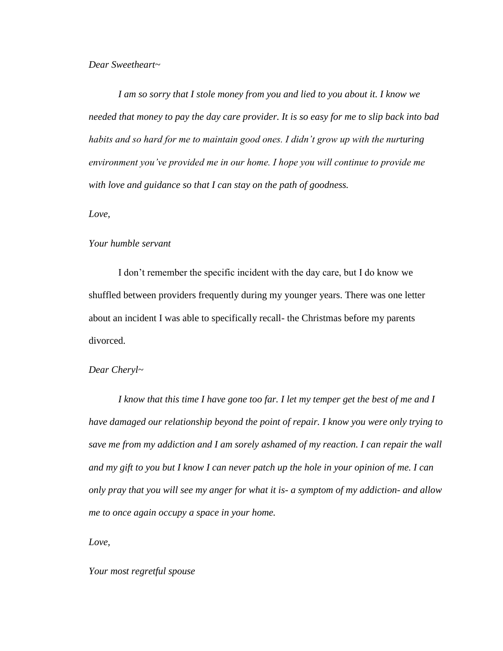## *Dear Sweetheart~*

*I am so sorry that I stole money from you and lied to you about it. I know we needed that money to pay the day care provider. It is so easy for me to slip back into bad*  habits and so hard for me to maintain good ones. I didn't grow up with the nurturing *environment you've provided me in our home. I hope you will continue to provide me with love and guidance so that I can stay on the path of goodness.*

*Love,*

## *Your humble servant*

I don't remember the specific incident with the day care, but I do know we shuffled between providers frequently during my younger years. There was one letter about an incident I was able to specifically recall- the Christmas before my parents divorced.

## *Dear Cheryl~*

*I know that this time I have gone too far. I let my temper get the best of me and I have damaged our relationship beyond the point of repair. I know you were only trying to save me from my addiction and I am sorely ashamed of my reaction. I can repair the wall and my gift to you but I know I can never patch up the hole in your opinion of me. I can only pray that you will see my anger for what it is- a symptom of my addiction- and allow me to once again occupy a space in your home.*

*Love,*

*Your most regretful spouse*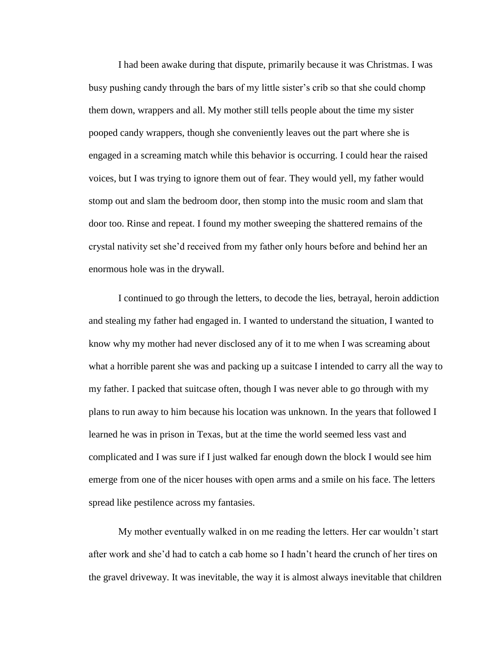I had been awake during that dispute, primarily because it was Christmas. I was busy pushing candy through the bars of my little sister's crib so that she could chomp them down, wrappers and all. My mother still tells people about the time my sister pooped candy wrappers, though she conveniently leaves out the part where she is engaged in a screaming match while this behavior is occurring. I could hear the raised voices, but I was trying to ignore them out of fear. They would yell, my father would stomp out and slam the bedroom door, then stomp into the music room and slam that door too. Rinse and repeat. I found my mother sweeping the shattered remains of the crystal nativity set she'd received from my father only hours before and behind her an enormous hole was in the drywall.

I continued to go through the letters, to decode the lies, betrayal, heroin addiction and stealing my father had engaged in. I wanted to understand the situation, I wanted to know why my mother had never disclosed any of it to me when I was screaming about what a horrible parent she was and packing up a suitcase I intended to carry all the way to my father. I packed that suitcase often, though I was never able to go through with my plans to run away to him because his location was unknown. In the years that followed I learned he was in prison in Texas, but at the time the world seemed less vast and complicated and I was sure if I just walked far enough down the block I would see him emerge from one of the nicer houses with open arms and a smile on his face. The letters spread like pestilence across my fantasies.

My mother eventually walked in on me reading the letters. Her car wouldn't start after work and she'd had to catch a cab home so I hadn't heard the crunch of her tires on the gravel driveway. It was inevitable, the way it is almost always inevitable that children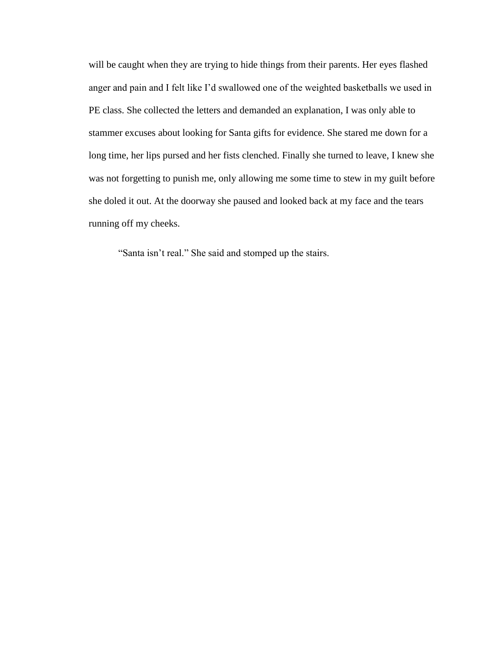will be caught when they are trying to hide things from their parents. Her eyes flashed anger and pain and I felt like I'd swallowed one of the weighted basketballs we used in PE class. She collected the letters and demanded an explanation, I was only able to stammer excuses about looking for Santa gifts for evidence. She stared me down for a long time, her lips pursed and her fists clenched. Finally she turned to leave, I knew she was not forgetting to punish me, only allowing me some time to stew in my guilt before she doled it out. At the doorway she paused and looked back at my face and the tears running off my cheeks.

"Santa isn't real." She said and stomped up the stairs.